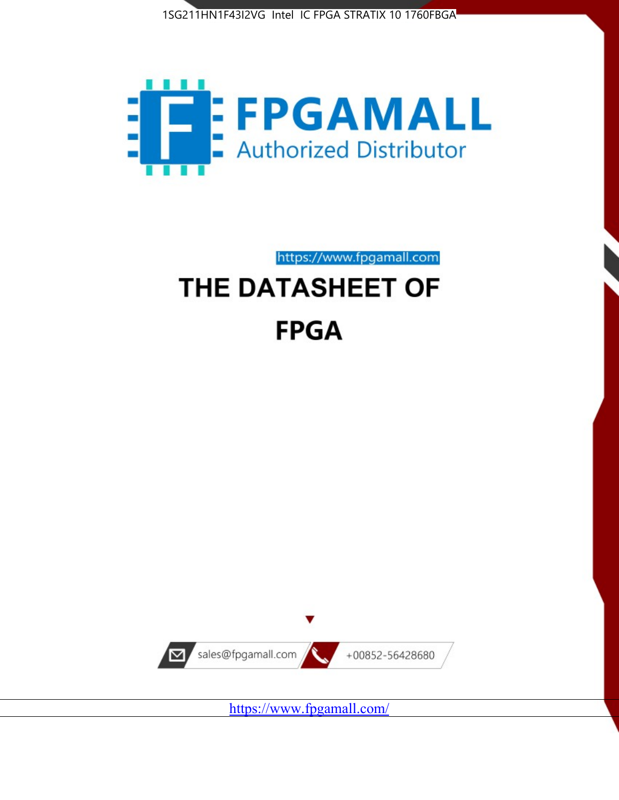



https://www.fpgamall.com

# THE DATASHEET OF **FPGA**



<https://www.fpgamall.com/>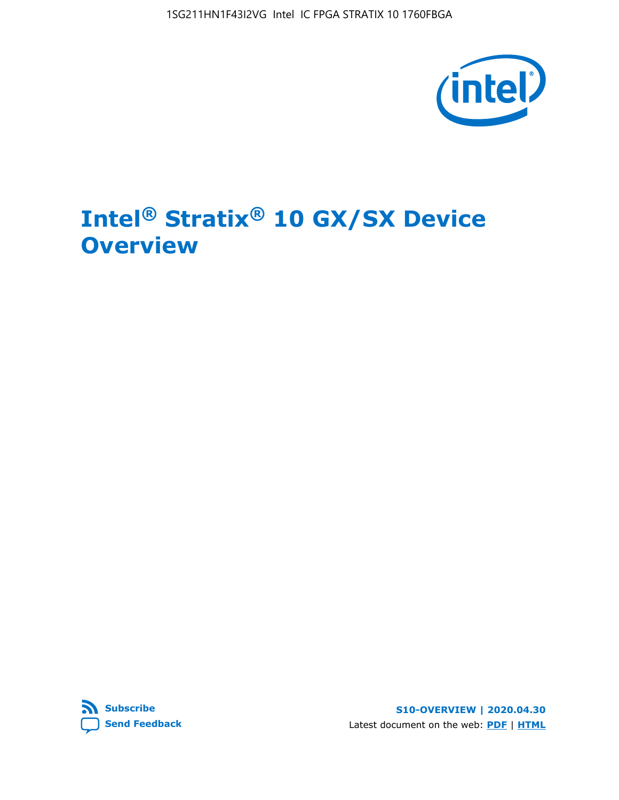1SG211HN1F43I2VG Intel IC FPGA STRATIX 10 1760FBGA



# **Intel® Stratix® 10 GX/SX Device Overview**



**S10-OVERVIEW | 2020.04.30** Latest document on the web: **[PDF](https://www.intel.com/content/dam/www/programmable/us/en/pdfs/literature/hb/stratix-10/s10-overview.pdf)** | **[HTML](https://www.intel.com/content/www/us/en/programmable/documentation/joc1442261161666.html)**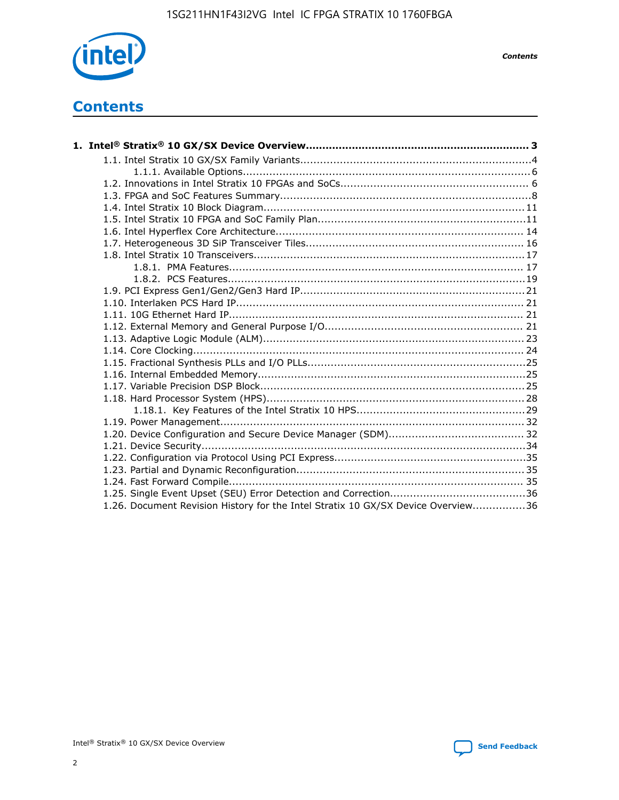

*Contents*

## **Contents**

| 1.26. Document Revision History for the Intel Stratix 10 GX/SX Device Overview36 |  |
|----------------------------------------------------------------------------------|--|

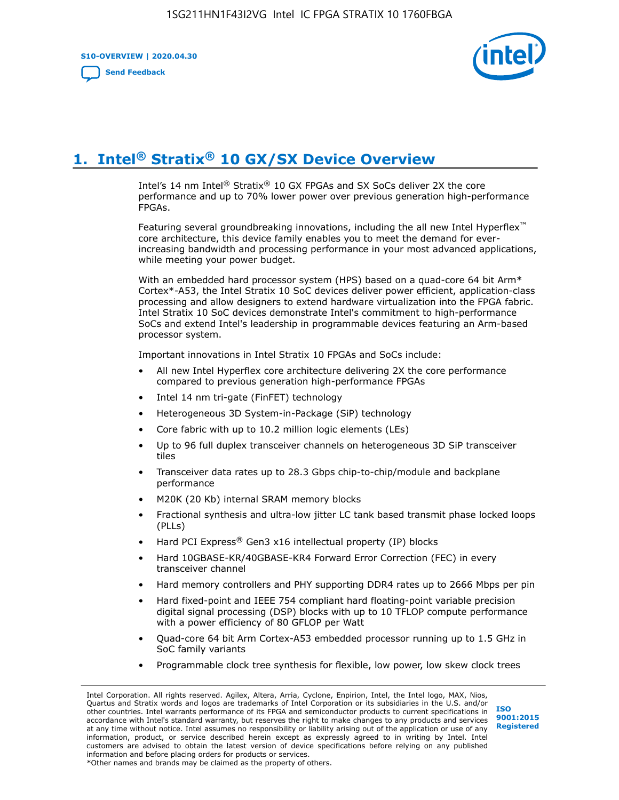**S10-OVERVIEW | 2020.04.30**

**[Send Feedback](mailto:FPGAtechdocfeedback@intel.com?subject=Feedback%20on%20Intel%20Stratix%2010%20GX/SX%20Device%20Overview%20(S10-OVERVIEW%202020.04.30)&body=We%20appreciate%20your%20feedback.%20In%20your%20comments,%20also%20specify%20the%20page%20number%20or%20paragraph.%20Thank%20you.)**



# **1. Intel® Stratix® 10 GX/SX Device Overview**

Intel's 14 nm Intel® Stratix® 10 GX FPGAs and SX SoCs deliver 2X the core performance and up to 70% lower power over previous generation high-performance FPGAs.

Featuring several groundbreaking innovations, including the all new Intel Hyperflex™ core architecture, this device family enables you to meet the demand for everincreasing bandwidth and processing performance in your most advanced applications, while meeting your power budget.

With an embedded hard processor system (HPS) based on a quad-core 64 bit Arm\* Cortex\*-A53, the Intel Stratix 10 SoC devices deliver power efficient, application-class processing and allow designers to extend hardware virtualization into the FPGA fabric. Intel Stratix 10 SoC devices demonstrate Intel's commitment to high-performance SoCs and extend Intel's leadership in programmable devices featuring an Arm-based processor system.

Important innovations in Intel Stratix 10 FPGAs and SoCs include:

- All new Intel Hyperflex core architecture delivering 2X the core performance compared to previous generation high-performance FPGAs
- Intel 14 nm tri-gate (FinFET) technology
- Heterogeneous 3D System-in-Package (SiP) technology
- Core fabric with up to 10.2 million logic elements (LEs)
- Up to 96 full duplex transceiver channels on heterogeneous 3D SiP transceiver tiles
- Transceiver data rates up to 28.3 Gbps chip-to-chip/module and backplane performance
- M20K (20 Kb) internal SRAM memory blocks
- Fractional synthesis and ultra-low jitter LC tank based transmit phase locked loops (PLLs)
- Hard PCI Express<sup>®</sup> Gen3 x16 intellectual property (IP) blocks
- Hard 10GBASE-KR/40GBASE-KR4 Forward Error Correction (FEC) in every transceiver channel
- Hard memory controllers and PHY supporting DDR4 rates up to 2666 Mbps per pin
- Hard fixed-point and IEEE 754 compliant hard floating-point variable precision digital signal processing (DSP) blocks with up to 10 TFLOP compute performance with a power efficiency of 80 GFLOP per Watt
- Quad-core 64 bit Arm Cortex-A53 embedded processor running up to 1.5 GHz in SoC family variants
- Programmable clock tree synthesis for flexible, low power, low skew clock trees

Intel Corporation. All rights reserved. Agilex, Altera, Arria, Cyclone, Enpirion, Intel, the Intel logo, MAX, Nios, Quartus and Stratix words and logos are trademarks of Intel Corporation or its subsidiaries in the U.S. and/or other countries. Intel warrants performance of its FPGA and semiconductor products to current specifications in accordance with Intel's standard warranty, but reserves the right to make changes to any products and services at any time without notice. Intel assumes no responsibility or liability arising out of the application or use of any information, product, or service described herein except as expressly agreed to in writing by Intel. Intel customers are advised to obtain the latest version of device specifications before relying on any published information and before placing orders for products or services. \*Other names and brands may be claimed as the property of others.

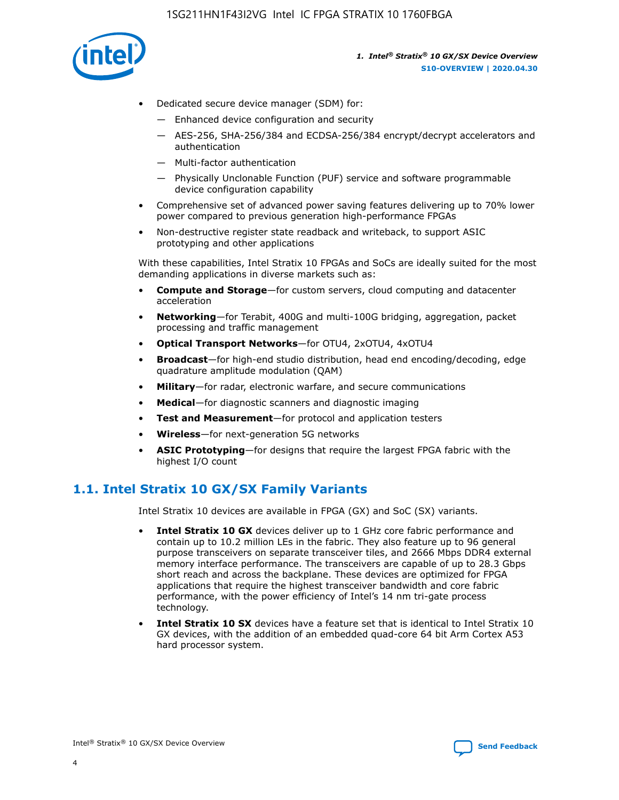

- Dedicated secure device manager (SDM) for:
	- Enhanced device configuration and security
	- AES-256, SHA-256/384 and ECDSA-256/384 encrypt/decrypt accelerators and authentication
	- Multi-factor authentication
	- Physically Unclonable Function (PUF) service and software programmable device configuration capability
- Comprehensive set of advanced power saving features delivering up to 70% lower power compared to previous generation high-performance FPGAs
- Non-destructive register state readback and writeback, to support ASIC prototyping and other applications

With these capabilities, Intel Stratix 10 FPGAs and SoCs are ideally suited for the most demanding applications in diverse markets such as:

- **Compute and Storage**—for custom servers, cloud computing and datacenter acceleration
- **Networking**—for Terabit, 400G and multi-100G bridging, aggregation, packet processing and traffic management
- **Optical Transport Networks**—for OTU4, 2xOTU4, 4xOTU4
- **Broadcast**—for high-end studio distribution, head end encoding/decoding, edge quadrature amplitude modulation (QAM)
- **Military**—for radar, electronic warfare, and secure communications
- **Medical**—for diagnostic scanners and diagnostic imaging
- **Test and Measurement**—for protocol and application testers
- **Wireless**—for next-generation 5G networks
- **ASIC Prototyping**—for designs that require the largest FPGA fabric with the highest I/O count

## **1.1. Intel Stratix 10 GX/SX Family Variants**

Intel Stratix 10 devices are available in FPGA (GX) and SoC (SX) variants.

- **Intel Stratix 10 GX** devices deliver up to 1 GHz core fabric performance and contain up to 10.2 million LEs in the fabric. They also feature up to 96 general purpose transceivers on separate transceiver tiles, and 2666 Mbps DDR4 external memory interface performance. The transceivers are capable of up to 28.3 Gbps short reach and across the backplane. These devices are optimized for FPGA applications that require the highest transceiver bandwidth and core fabric performance, with the power efficiency of Intel's 14 nm tri-gate process technology.
- **Intel Stratix 10 SX** devices have a feature set that is identical to Intel Stratix 10 GX devices, with the addition of an embedded quad-core 64 bit Arm Cortex A53 hard processor system.

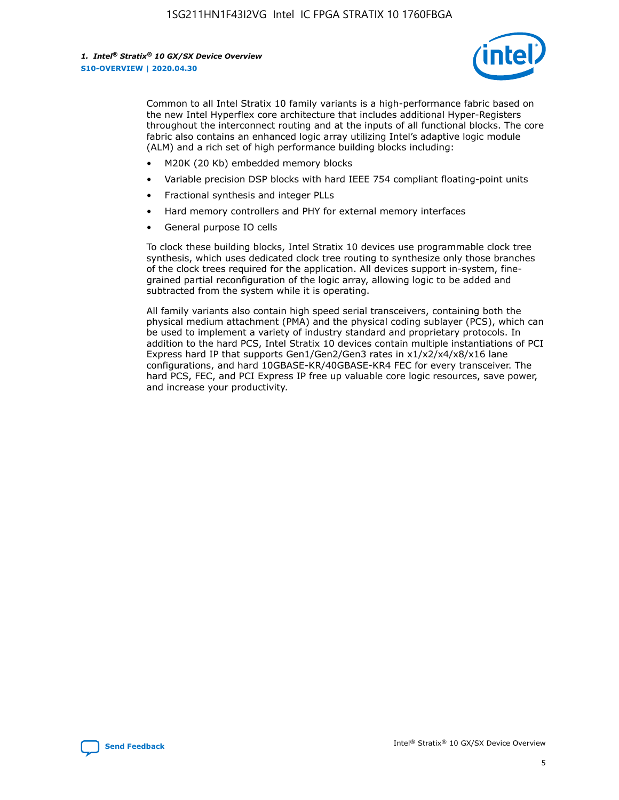

Common to all Intel Stratix 10 family variants is a high-performance fabric based on the new Intel Hyperflex core architecture that includes additional Hyper-Registers throughout the interconnect routing and at the inputs of all functional blocks. The core fabric also contains an enhanced logic array utilizing Intel's adaptive logic module (ALM) and a rich set of high performance building blocks including:

- M20K (20 Kb) embedded memory blocks
- Variable precision DSP blocks with hard IEEE 754 compliant floating-point units
- Fractional synthesis and integer PLLs
- Hard memory controllers and PHY for external memory interfaces
- General purpose IO cells

To clock these building blocks, Intel Stratix 10 devices use programmable clock tree synthesis, which uses dedicated clock tree routing to synthesize only those branches of the clock trees required for the application. All devices support in-system, finegrained partial reconfiguration of the logic array, allowing logic to be added and subtracted from the system while it is operating.

All family variants also contain high speed serial transceivers, containing both the physical medium attachment (PMA) and the physical coding sublayer (PCS), which can be used to implement a variety of industry standard and proprietary protocols. In addition to the hard PCS, Intel Stratix 10 devices contain multiple instantiations of PCI Express hard IP that supports Gen1/Gen2/Gen3 rates in x1/x2/x4/x8/x16 lane configurations, and hard 10GBASE-KR/40GBASE-KR4 FEC for every transceiver. The hard PCS, FEC, and PCI Express IP free up valuable core logic resources, save power, and increase your productivity.

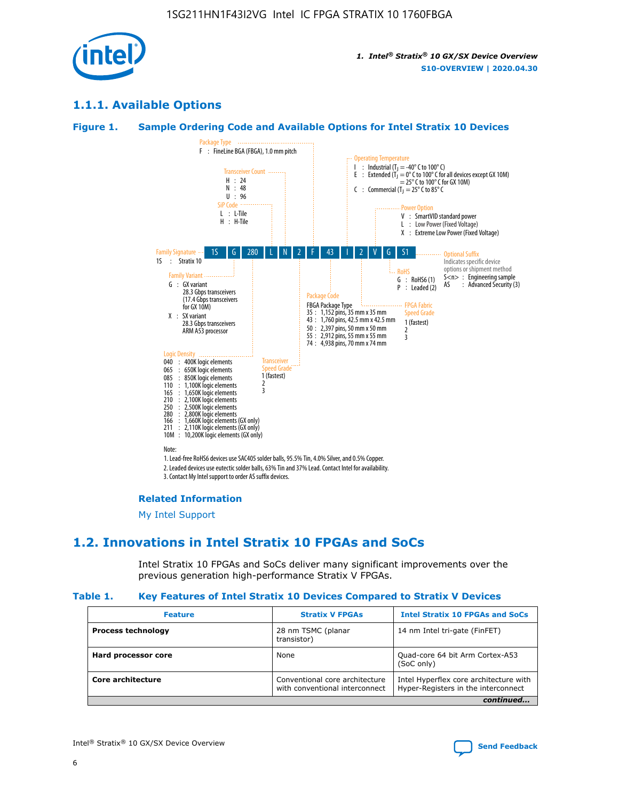

## **1.1.1. Available Options**

#### **Figure 1. Sample Ordering Code and Available Options for Intel Stratix 10 Devices**



3. Contact My Intel support to order AS suffix devices.

#### **Related Information**

[My Intel Support](https://www.intel.com/content/www/us/en/programmable/my-intel/mal-home.html)

## **1.2. Innovations in Intel Stratix 10 FPGAs and SoCs**

Intel Stratix 10 FPGAs and SoCs deliver many significant improvements over the previous generation high-performance Stratix V FPGAs.

#### **Table 1. Key Features of Intel Stratix 10 Devices Compared to Stratix V Devices**

| <b>Feature</b>            | <b>Stratix V FPGAs</b>                                           | <b>Intel Stratix 10 FPGAs and SoCs</b>                                        |  |
|---------------------------|------------------------------------------------------------------|-------------------------------------------------------------------------------|--|
| <b>Process technology</b> | 28 nm TSMC (planar<br>transistor)                                | 14 nm Intel tri-gate (FinFET)                                                 |  |
| Hard processor core       | None                                                             | Quad-core 64 bit Arm Cortex-A53<br>(SoC only)                                 |  |
| Core architecture         | Conventional core architecture<br>with conventional interconnect | Intel Hyperflex core architecture with<br>Hyper-Registers in the interconnect |  |
|                           |                                                                  | continued                                                                     |  |

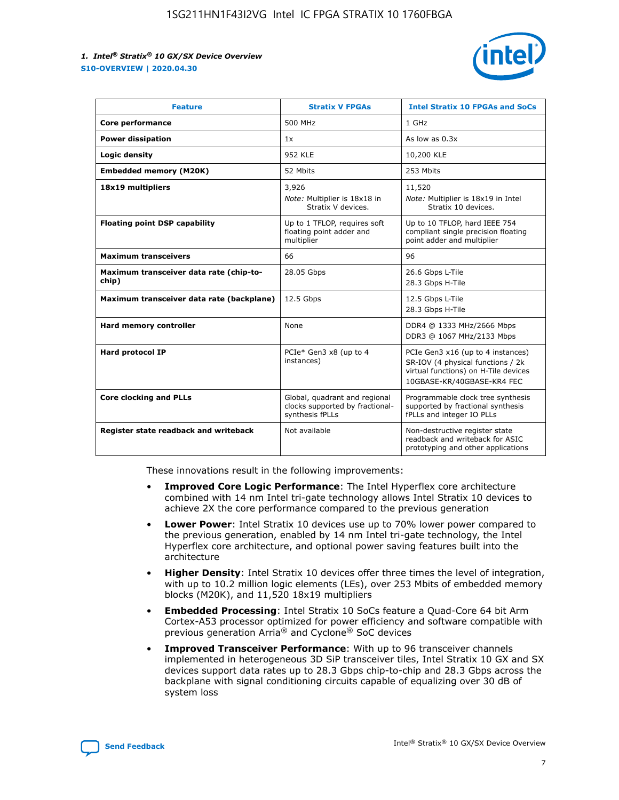

| <b>Feature</b>                                   | <b>Stratix V FPGAs</b>                                                              | <b>Intel Stratix 10 FPGAs and SoCs</b>                                                                                                       |
|--------------------------------------------------|-------------------------------------------------------------------------------------|----------------------------------------------------------------------------------------------------------------------------------------------|
| Core performance                                 | 500 MHz                                                                             | 1 GHz                                                                                                                                        |
| <b>Power dissipation</b>                         | 1x                                                                                  | As low as $0.3x$                                                                                                                             |
| Logic density                                    | <b>952 KLE</b>                                                                      | 10,200 KLE                                                                                                                                   |
| <b>Embedded memory (M20K)</b>                    | 52 Mbits                                                                            | 253 Mbits                                                                                                                                    |
| 18x19 multipliers                                | 3,926                                                                               | 11,520                                                                                                                                       |
|                                                  | Note: Multiplier is 18x18 in<br>Stratix V devices.                                  | Note: Multiplier is 18x19 in Intel<br>Stratix 10 devices.                                                                                    |
| <b>Floating point DSP capability</b>             | Up to 1 TFLOP, requires soft<br>floating point adder and<br>multiplier              | Up to 10 TFLOP, hard IEEE 754<br>compliant single precision floating<br>point adder and multiplier                                           |
| <b>Maximum transceivers</b>                      | 66                                                                                  | 96                                                                                                                                           |
| Maximum transceiver data rate (chip-to-<br>chip) | 28.05 Gbps                                                                          | 26.6 Gbps L-Tile<br>28.3 Gbps H-Tile                                                                                                         |
| Maximum transceiver data rate (backplane)        | 12.5 Gbps                                                                           | 12.5 Gbps L-Tile<br>28.3 Gbps H-Tile                                                                                                         |
| Hard memory controller                           | None                                                                                | DDR4 @ 1333 MHz/2666 Mbps<br>DDR3 @ 1067 MHz/2133 Mbps                                                                                       |
| <b>Hard protocol IP</b>                          | PCIe* Gen3 x8 (up to 4<br>instances)                                                | PCIe Gen3 x16 (up to 4 instances)<br>SR-IOV (4 physical functions / 2k<br>virtual functions) on H-Tile devices<br>10GBASE-KR/40GBASE-KR4 FEC |
| <b>Core clocking and PLLs</b>                    | Global, quadrant and regional<br>clocks supported by fractional-<br>synthesis fPLLs | Programmable clock tree synthesis<br>supported by fractional synthesis<br>fPLLs and integer IO PLLs                                          |
| Register state readback and writeback            | Not available                                                                       | Non-destructive register state<br>readback and writeback for ASIC<br>prototyping and other applications                                      |

These innovations result in the following improvements:

- **Improved Core Logic Performance**: The Intel Hyperflex core architecture combined with 14 nm Intel tri-gate technology allows Intel Stratix 10 devices to achieve 2X the core performance compared to the previous generation
- **Lower Power**: Intel Stratix 10 devices use up to 70% lower power compared to the previous generation, enabled by 14 nm Intel tri-gate technology, the Intel Hyperflex core architecture, and optional power saving features built into the architecture
- **Higher Density**: Intel Stratix 10 devices offer three times the level of integration, with up to 10.2 million logic elements (LEs), over 253 Mbits of embedded memory blocks (M20K), and 11,520 18x19 multipliers
- **Embedded Processing**: Intel Stratix 10 SoCs feature a Quad-Core 64 bit Arm Cortex-A53 processor optimized for power efficiency and software compatible with previous generation Arria® and Cyclone® SoC devices
- **Improved Transceiver Performance**: With up to 96 transceiver channels implemented in heterogeneous 3D SiP transceiver tiles, Intel Stratix 10 GX and SX devices support data rates up to 28.3 Gbps chip-to-chip and 28.3 Gbps across the backplane with signal conditioning circuits capable of equalizing over 30 dB of system loss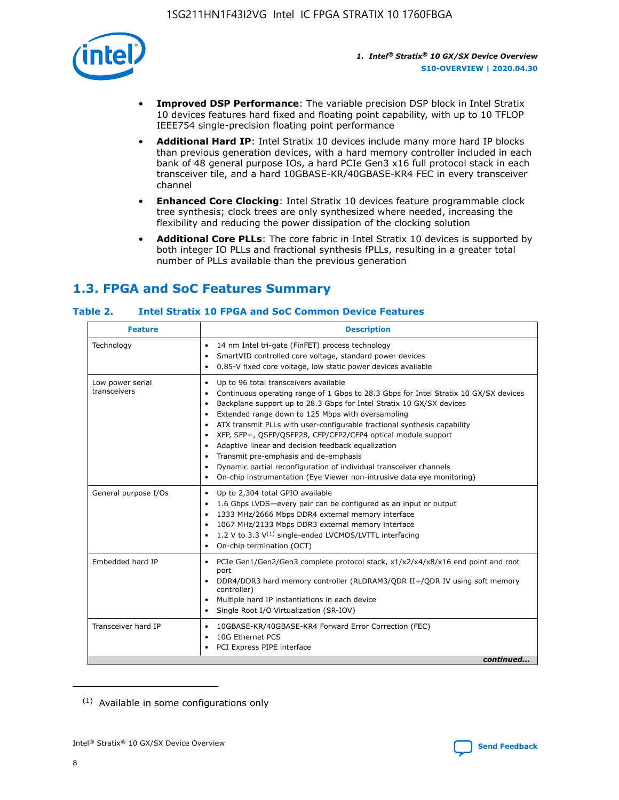

- **Improved DSP Performance**: The variable precision DSP block in Intel Stratix 10 devices features hard fixed and floating point capability, with up to 10 TFLOP IEEE754 single-precision floating point performance
- **Additional Hard IP**: Intel Stratix 10 devices include many more hard IP blocks than previous generation devices, with a hard memory controller included in each bank of 48 general purpose IOs, a hard PCIe Gen3 x16 full protocol stack in each transceiver tile, and a hard 10GBASE-KR/40GBASE-KR4 FEC in every transceiver channel
- **Enhanced Core Clocking**: Intel Stratix 10 devices feature programmable clock tree synthesis; clock trees are only synthesized where needed, increasing the flexibility and reducing the power dissipation of the clocking solution
- **Additional Core PLLs**: The core fabric in Intel Stratix 10 devices is supported by both integer IO PLLs and fractional synthesis fPLLs, resulting in a greater total number of PLLs available than the previous generation

## **1.3. FPGA and SoC Features Summary**

## **Table 2. Intel Stratix 10 FPGA and SoC Common Device Features**

| <b>Feature</b>                   | <b>Description</b>                                                                                                                                                                                                                                                                                                                                                                                                                                                                                                                                                                                                                                                                                                                                   |
|----------------------------------|------------------------------------------------------------------------------------------------------------------------------------------------------------------------------------------------------------------------------------------------------------------------------------------------------------------------------------------------------------------------------------------------------------------------------------------------------------------------------------------------------------------------------------------------------------------------------------------------------------------------------------------------------------------------------------------------------------------------------------------------------|
| Technology                       | 14 nm Intel tri-gate (FinFET) process technology<br>٠<br>SmartVID controlled core voltage, standard power devices<br>0.85-V fixed core voltage, low static power devices available                                                                                                                                                                                                                                                                                                                                                                                                                                                                                                                                                                   |
| Low power serial<br>transceivers | Up to 96 total transceivers available<br>$\bullet$<br>Continuous operating range of 1 Gbps to 28.3 Gbps for Intel Stratix 10 GX/SX devices<br>$\bullet$<br>Backplane support up to 28.3 Gbps for Intel Stratix 10 GX/SX devices<br>$\bullet$<br>Extended range down to 125 Mbps with oversampling<br>$\bullet$<br>ATX transmit PLLs with user-configurable fractional synthesis capability<br>$\bullet$<br>• XFP, SFP+, OSFP/OSFP28, CFP/CFP2/CFP4 optical module support<br>• Adaptive linear and decision feedback equalization<br>Transmit pre-emphasis and de-emphasis<br>Dynamic partial reconfiguration of individual transceiver channels<br>$\bullet$<br>On-chip instrumentation (Eye Viewer non-intrusive data eye monitoring)<br>$\bullet$ |
| General purpose I/Os             | Up to 2,304 total GPIO available<br>$\bullet$<br>1.6 Gbps LVDS-every pair can be configured as an input or output<br>$\bullet$<br>1333 MHz/2666 Mbps DDR4 external memory interface<br>1067 MHz/2133 Mbps DDR3 external memory interface<br>1.2 V to 3.3 $V^{(1)}$ single-ended LVCMOS/LVTTL interfacing<br>$\bullet$<br>On-chip termination (OCT)<br>$\bullet$                                                                                                                                                                                                                                                                                                                                                                                      |
| Embedded hard IP                 | • PCIe Gen1/Gen2/Gen3 complete protocol stack, $x1/x2/x4/x8/x16$ end point and root<br>port<br>DDR4/DDR3 hard memory controller (RLDRAM3/QDR II+/QDR IV using soft memory<br>controller)<br>Multiple hard IP instantiations in each device<br>$\bullet$<br>• Single Root I/O Virtualization (SR-IOV)                                                                                                                                                                                                                                                                                                                                                                                                                                                 |
| Transceiver hard IP              | 10GBASE-KR/40GBASE-KR4 Forward Error Correction (FEC)<br>$\bullet$<br>10G Ethernet PCS<br>$\bullet$<br>• PCI Express PIPE interface<br>continued                                                                                                                                                                                                                                                                                                                                                                                                                                                                                                                                                                                                     |

<sup>(1)</sup> Available in some configurations only

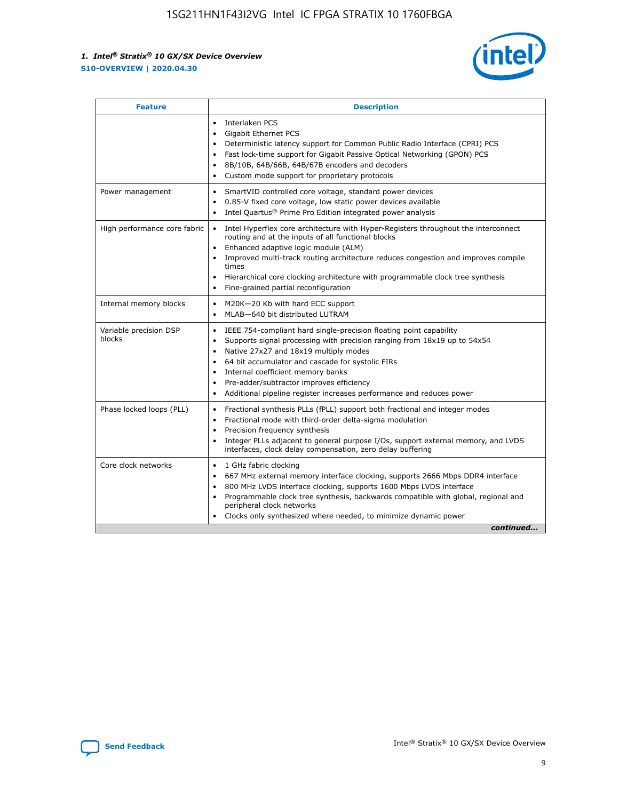

| <b>Feature</b>                   | <b>Description</b>                                                                                                                                                                                                                                                                                                                                                                                                                                                    |  |  |  |
|----------------------------------|-----------------------------------------------------------------------------------------------------------------------------------------------------------------------------------------------------------------------------------------------------------------------------------------------------------------------------------------------------------------------------------------------------------------------------------------------------------------------|--|--|--|
|                                  | Interlaken PCS<br>$\bullet$<br>Gigabit Ethernet PCS<br>$\bullet$<br>Deterministic latency support for Common Public Radio Interface (CPRI) PCS<br>$\bullet$<br>Fast lock-time support for Gigabit Passive Optical Networking (GPON) PCS<br>$\bullet$<br>8B/10B, 64B/66B, 64B/67B encoders and decoders<br>$\bullet$<br>Custom mode support for proprietary protocols<br>$\bullet$                                                                                     |  |  |  |
| Power management                 | SmartVID controlled core voltage, standard power devices<br>$\bullet$<br>0.85-V fixed core voltage, low static power devices available<br>$\bullet$<br>Intel Quartus <sup>®</sup> Prime Pro Edition integrated power analysis<br>$\bullet$                                                                                                                                                                                                                            |  |  |  |
| High performance core fabric     | Intel Hyperflex core architecture with Hyper-Registers throughout the interconnect<br>$\bullet$<br>routing and at the inputs of all functional blocks<br>Enhanced adaptive logic module (ALM)<br>$\bullet$<br>Improved multi-track routing architecture reduces congestion and improves compile<br>times<br>Hierarchical core clocking architecture with programmable clock tree synthesis<br>Fine-grained partial reconfiguration                                    |  |  |  |
| Internal memory blocks           | M20K-20 Kb with hard ECC support<br>٠<br>MLAB-640 bit distributed LUTRAM<br>$\bullet$                                                                                                                                                                                                                                                                                                                                                                                 |  |  |  |
| Variable precision DSP<br>blocks | IEEE 754-compliant hard single-precision floating point capability<br>$\bullet$<br>Supports signal processing with precision ranging from 18x19 up to 54x54<br>$\bullet$<br>Native 27x27 and 18x19 multiply modes<br>$\bullet$<br>64 bit accumulator and cascade for systolic FIRs<br>Internal coefficient memory banks<br>Pre-adder/subtractor improves efficiency<br>$\bullet$<br>Additional pipeline register increases performance and reduces power<br>$\bullet$ |  |  |  |
| Phase locked loops (PLL)         | Fractional synthesis PLLs (fPLL) support both fractional and integer modes<br>$\bullet$<br>Fractional mode with third-order delta-sigma modulation<br>Precision frequency synthesis<br>$\bullet$<br>Integer PLLs adjacent to general purpose I/Os, support external memory, and LVDS<br>$\bullet$<br>interfaces, clock delay compensation, zero delay buffering                                                                                                       |  |  |  |
| Core clock networks              | 1 GHz fabric clocking<br>$\bullet$<br>667 MHz external memory interface clocking, supports 2666 Mbps DDR4 interface<br>$\bullet$<br>800 MHz LVDS interface clocking, supports 1600 Mbps LVDS interface<br>$\bullet$<br>Programmable clock tree synthesis, backwards compatible with global, regional and<br>$\bullet$<br>peripheral clock networks<br>Clocks only synthesized where needed, to minimize dynamic power<br>continued                                    |  |  |  |

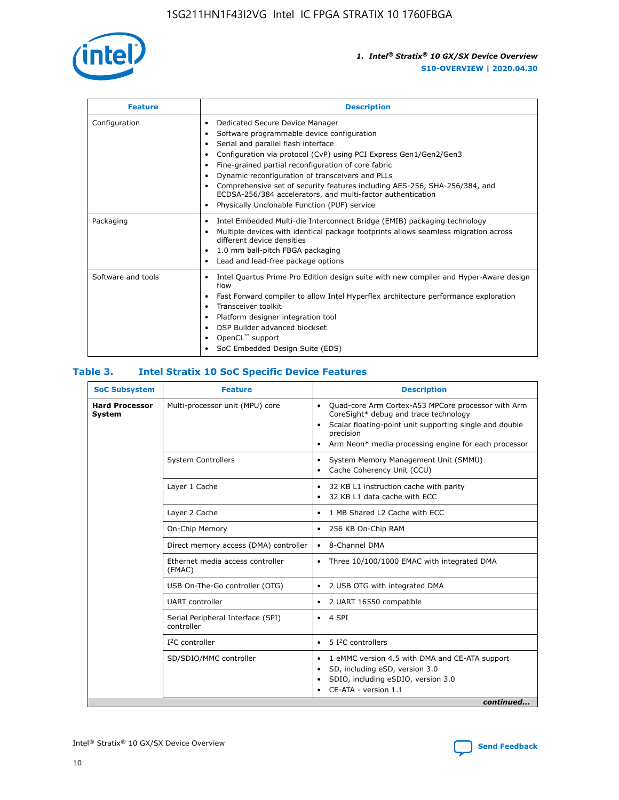

| <b>Feature</b>     | <b>Description</b>                                                                                                                                                                                                                                                                                                                                                                                                                                                                                                                         |
|--------------------|--------------------------------------------------------------------------------------------------------------------------------------------------------------------------------------------------------------------------------------------------------------------------------------------------------------------------------------------------------------------------------------------------------------------------------------------------------------------------------------------------------------------------------------------|
| Configuration      | Dedicated Secure Device Manager<br>٠<br>Software programmable device configuration<br>Serial and parallel flash interface<br>Configuration via protocol (CvP) using PCI Express Gen1/Gen2/Gen3<br>٠<br>Fine-grained partial reconfiguration of core fabric<br>٠<br>Dynamic reconfiguration of transceivers and PLLs<br>$\bullet$<br>Comprehensive set of security features including AES-256, SHA-256/384, and<br>ECDSA-256/384 accelerators, and multi-factor authentication<br>Physically Unclonable Function (PUF) service<br>$\bullet$ |
| Packaging          | Intel Embedded Multi-die Interconnect Bridge (EMIB) packaging technology<br>٠<br>Multiple devices with identical package footprints allows seamless migration across<br>$\bullet$<br>different device densities<br>1.0 mm ball-pitch FBGA packaging<br>$\bullet$<br>Lead and lead-free package options                                                                                                                                                                                                                                     |
| Software and tools | Intel Quartus Prime Pro Edition design suite with new compiler and Hyper-Aware design<br>$\bullet$<br>flow<br>Fast Forward compiler to allow Intel Hyperflex architecture performance exploration<br>$\bullet$<br>Transceiver toolkit<br>$\bullet$<br>Platform designer integration tool<br>DSP Builder advanced blockset<br>OpenCL <sup>™</sup> support<br>SoC Embedded Design Suite (EDS)                                                                                                                                                |

## **Table 3. Intel Stratix 10 SoC Specific Device Features**

| <b>SoC Subsystem</b><br><b>Feature</b> |                                                 | <b>Description</b>                                                                                                                                                                                                                                                 |  |  |
|----------------------------------------|-------------------------------------------------|--------------------------------------------------------------------------------------------------------------------------------------------------------------------------------------------------------------------------------------------------------------------|--|--|
| <b>Hard Processor</b><br>System        | Multi-processor unit (MPU) core                 | Quad-core Arm Cortex-A53 MPCore processor with Arm<br>$\bullet$<br>CoreSight* debug and trace technology<br>Scalar floating-point unit supporting single and double<br>$\bullet$<br>precision<br>Arm Neon* media processing engine for each processor<br>$\bullet$ |  |  |
|                                        | <b>System Controllers</b>                       | System Memory Management Unit (SMMU)<br>$\bullet$<br>Cache Coherency Unit (CCU)<br>$\bullet$                                                                                                                                                                       |  |  |
|                                        | Layer 1 Cache                                   | 32 KB L1 instruction cache with parity<br>٠<br>32 KB L1 data cache with ECC<br>$\bullet$                                                                                                                                                                           |  |  |
|                                        | Layer 2 Cache                                   | 1 MB Shared L2 Cache with ECC<br>$\bullet$                                                                                                                                                                                                                         |  |  |
|                                        | On-Chip Memory                                  | 256 KB On-Chip RAM<br>$\bullet$                                                                                                                                                                                                                                    |  |  |
|                                        | Direct memory access (DMA) controller           | • 8-Channel DMA                                                                                                                                                                                                                                                    |  |  |
|                                        | Ethernet media access controller<br>(EMAC)      | Three 10/100/1000 EMAC with integrated DMA<br>$\bullet$                                                                                                                                                                                                            |  |  |
|                                        | USB On-The-Go controller (OTG)                  | 2 USB OTG with integrated DMA<br>$\bullet$                                                                                                                                                                                                                         |  |  |
|                                        | <b>UART</b> controller                          | 2 UART 16550 compatible<br>$\bullet$                                                                                                                                                                                                                               |  |  |
|                                        | Serial Peripheral Interface (SPI)<br>controller | $\bullet$ 4 SPI                                                                                                                                                                                                                                                    |  |  |
|                                        | $I2C$ controller                                | 5 <sup>2</sup> C controllers<br>$\bullet$                                                                                                                                                                                                                          |  |  |
|                                        | SD/SDIO/MMC controller                          | 1 eMMC version 4.5 with DMA and CE-ATA support<br>$\bullet$<br>SD, including eSD, version 3.0<br>٠<br>SDIO, including eSDIO, version 3.0<br>CE-ATA - version 1.1<br>continued                                                                                      |  |  |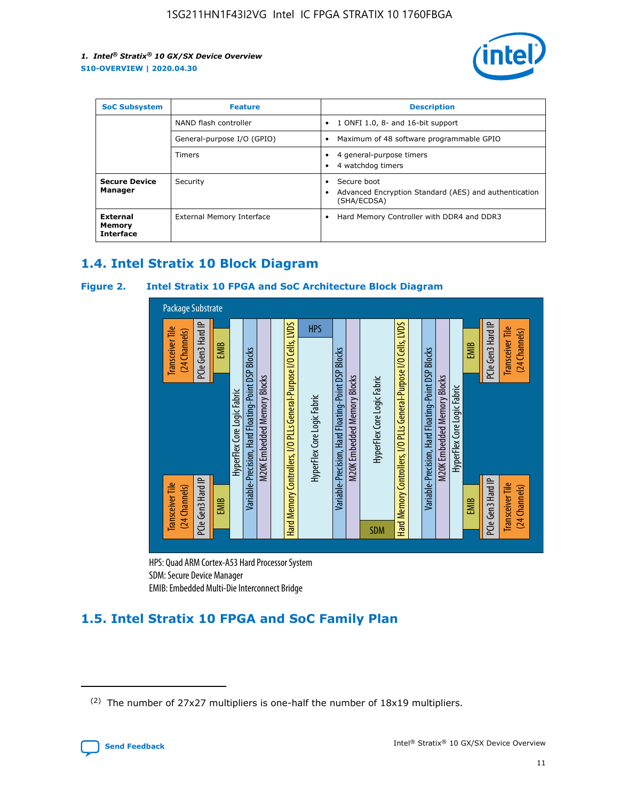

| <b>SoC Subsystem</b>                   | <b>Feature</b>             | <b>Description</b>                                                                                    |  |  |
|----------------------------------------|----------------------------|-------------------------------------------------------------------------------------------------------|--|--|
|                                        | NAND flash controller      | 1 ONFI 1.0, 8- and 16-bit support<br>$\bullet$                                                        |  |  |
|                                        | General-purpose I/O (GPIO) | Maximum of 48 software programmable GPIO<br>$\bullet$                                                 |  |  |
|                                        | Timers                     | 4 general-purpose timers<br>4 watchdog timers<br>٠                                                    |  |  |
| <b>Secure Device</b><br>Manager        | Security                   | Secure boot<br>$\bullet$<br>Advanced Encryption Standard (AES) and authentication<br>٠<br>(SHA/ECDSA) |  |  |
| External<br>Memory<br><b>Interface</b> | External Memory Interface  | Hard Memory Controller with DDR4 and DDR3<br>$\bullet$                                                |  |  |

## **1.4. Intel Stratix 10 Block Diagram**

## **Figure 2. Intel Stratix 10 FPGA and SoC Architecture Block Diagram**



HPS: Quad ARM Cortex-A53 Hard Processor System SDM: Secure Device Manager

## **1.5. Intel Stratix 10 FPGA and SoC Family Plan**

<sup>(2)</sup> The number of 27x27 multipliers is one-half the number of 18x19 multipliers.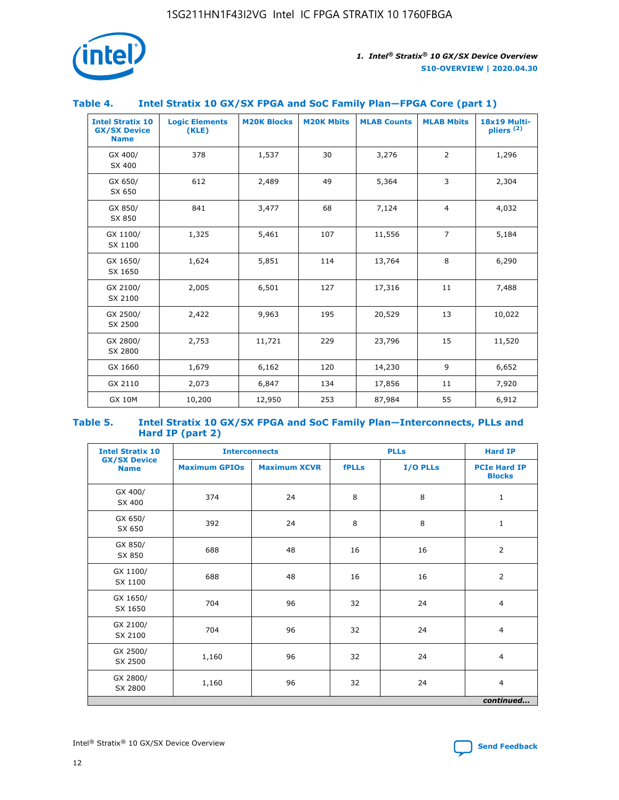

## **Table 4. Intel Stratix 10 GX/SX FPGA and SoC Family Plan—FPGA Core (part 1)**

| <b>Intel Stratix 10</b><br><b>GX/SX Device</b><br><b>Name</b> | <b>Logic Elements</b><br>(KLE) | <b>M20K Blocks</b> | <b>M20K Mbits</b> | <b>MLAB Counts</b> | <b>MLAB Mbits</b> | 18x19 Multi-<br>pliers <sup>(2)</sup> |
|---------------------------------------------------------------|--------------------------------|--------------------|-------------------|--------------------|-------------------|---------------------------------------|
| GX 400/<br>SX 400                                             | 378                            | 1,537              | 30                | 3,276              | $\overline{2}$    | 1,296                                 |
| GX 650/<br>SX 650                                             | 612                            | 2,489              | 49                | 5,364              | 3                 | 2,304                                 |
| GX 850/<br>SX 850                                             | 841                            | 3,477              | 68                | 7,124              | $\overline{4}$    | 4,032                                 |
| GX 1100/<br>SX 1100                                           | 1,325                          | 5,461              | 107               | 11,556             | $\overline{7}$    | 5,184                                 |
| GX 1650/<br>SX 1650                                           | 1,624                          | 5,851              | 114               | 13,764             | 8                 | 6,290                                 |
| GX 2100/<br>SX 2100                                           | 2,005                          | 6,501              | 127               | 17,316             | 11                | 7,488                                 |
| GX 2500/<br>SX 2500                                           | 2,422                          | 9,963              | 195               | 20,529             | 13                | 10,022                                |
| GX 2800/<br>SX 2800                                           | 2,753                          | 11,721             | 229               | 23,796             | 15                | 11,520                                |
| GX 1660                                                       | 1,679                          | 6,162              | 120               | 14,230             | 9                 | 6,652                                 |
| GX 2110                                                       | 2,073                          | 6,847              | 134               | 17,856             | 11                | 7,920                                 |
| <b>GX 10M</b>                                                 | 10,200                         | 12,950             | 253               | 87,984             | 55                | 6,912                                 |

#### **Table 5. Intel Stratix 10 GX/SX FPGA and SoC Family Plan—Interconnects, PLLs and Hard IP (part 2)**

| <b>Intel Stratix 10</b>            |                      | <b>PLLs</b><br><b>Interconnects</b> |              |          | <b>Hard IP</b>                       |  |
|------------------------------------|----------------------|-------------------------------------|--------------|----------|--------------------------------------|--|
| <b>GX/SX Device</b><br><b>Name</b> | <b>Maximum GPIOs</b> | <b>Maximum XCVR</b>                 | <b>fPLLs</b> | I/O PLLs | <b>PCIe Hard IP</b><br><b>Blocks</b> |  |
| GX 400/<br>SX 400                  | 374                  | 24                                  | 8            | 8        | $\mathbf{1}$                         |  |
| GX 650/<br>SX 650                  | 392                  | 24                                  | 8            | 8        | $\mathbf{1}$                         |  |
| GX 850/<br>SX 850                  | 688                  | 48                                  | 16           | 16       | 2                                    |  |
| GX 1100/<br>SX 1100                | 688                  | 48                                  | 16           | 16       | 2                                    |  |
| GX 1650/<br>SX 1650                | 704                  | 96                                  | 32           | 24       | $\overline{4}$                       |  |
| GX 2100/<br>SX 2100                | 704                  | 96                                  | 32           | 24       | 4                                    |  |
| GX 2500/<br>SX 2500                | 1,160                | 96                                  | 32           | 24       | $\overline{4}$                       |  |
| GX 2800/<br>SX 2800                | 1,160                | 96                                  | 32           | 24       | $\overline{4}$                       |  |
| continued                          |                      |                                     |              |          |                                      |  |

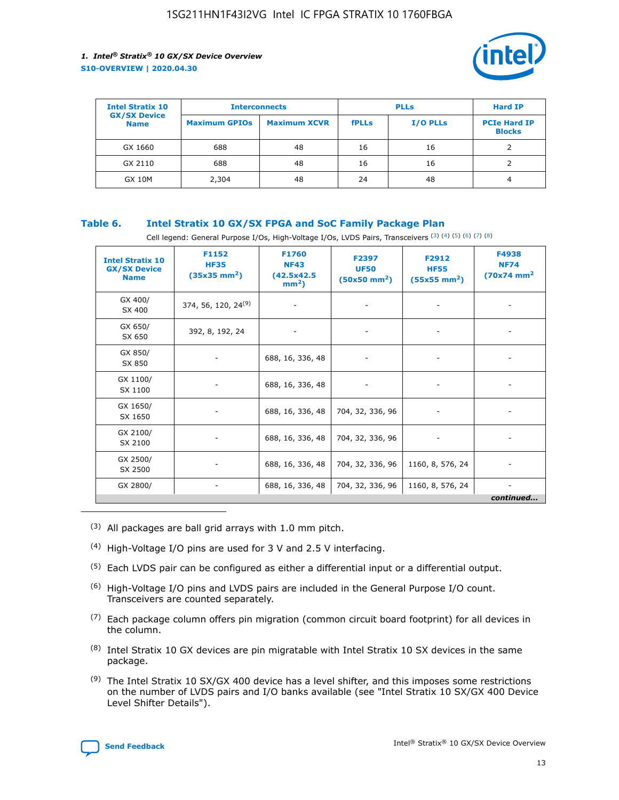

| <b>Intel Stratix 10</b>            | <b>Interconnects</b> |                     |              | <b>Hard IP</b>  |                                      |
|------------------------------------|----------------------|---------------------|--------------|-----------------|--------------------------------------|
| <b>GX/SX Device</b><br><b>Name</b> | <b>Maximum GPIOs</b> | <b>Maximum XCVR</b> | <b>fPLLs</b> | <b>I/O PLLs</b> | <b>PCIe Hard IP</b><br><b>Blocks</b> |
| GX 1660                            | 688                  | 48                  | 16           | 16              |                                      |
| GX 2110                            | 688                  | 48                  | 16           | 16              |                                      |
| <b>GX 10M</b>                      | 2,304                | 48                  | 24           | 48              | 4                                    |

## **Table 6. Intel Stratix 10 GX/SX FPGA and SoC Family Package Plan**

Cell legend: General Purpose I/Os, High-Voltage I/Os, LVDS Pairs, Transceivers (3) (4) (5) (6) (7) (8)

| <b>Intel Stratix 10</b><br><b>GX/SX Device</b><br><b>Name</b> | F1152<br><b>HF35</b><br>$(35x35 \text{ mm}^2)$ | F1760<br><b>NF43</b><br>(42.5x42.5<br>$mm2$ ) | F2397<br><b>UF50</b><br>$(50x50 \text{ mm}^2)$ | F2912<br><b>HF55</b><br>$(55x55$ mm <sup>2</sup> ) | F4938<br><b>NF74</b><br>$(70x74)$ mm <sup>2</sup> |
|---------------------------------------------------------------|------------------------------------------------|-----------------------------------------------|------------------------------------------------|----------------------------------------------------|---------------------------------------------------|
| GX 400/<br>SX 400                                             | 374, 56, 120, 24 <sup>(9)</sup>                | $\overline{\phantom{a}}$                      | $\overline{\phantom{a}}$                       | ۰                                                  |                                                   |
| GX 650/<br>SX 650                                             | 392, 8, 192, 24                                | $\overline{\phantom{a}}$                      | $\overline{\phantom{a}}$                       |                                                    |                                                   |
| GX 850/<br>SX 850                                             | ۰.                                             | 688, 16, 336, 48                              |                                                |                                                    |                                                   |
| GX 1100/<br>SX 1100                                           |                                                | 688, 16, 336, 48                              |                                                |                                                    |                                                   |
| GX 1650/<br>SX 1650                                           |                                                | 688, 16, 336, 48                              | 704, 32, 336, 96                               |                                                    |                                                   |
| GX 2100/<br>SX 2100                                           | -                                              | 688, 16, 336, 48                              | 704, 32, 336, 96                               | $\overline{\phantom{a}}$                           |                                                   |
| GX 2500/<br>SX 2500                                           |                                                | 688, 16, 336, 48                              | 704, 32, 336, 96                               | 1160, 8, 576, 24                                   |                                                   |
| GX 2800/                                                      | ۰                                              | 688, 16, 336, 48                              | 704, 32, 336, 96                               | 1160, 8, 576, 24                                   | $\overline{\phantom{a}}$<br>continued             |

- (3) All packages are ball grid arrays with 1.0 mm pitch.
- (4) High-Voltage I/O pins are used for 3 V and 2.5 V interfacing.
- $(5)$  Each LVDS pair can be configured as either a differential input or a differential output.
- (6) High-Voltage I/O pins and LVDS pairs are included in the General Purpose I/O count. Transceivers are counted separately.
- $(7)$  Each package column offers pin migration (common circuit board footprint) for all devices in the column.
- $(8)$  Intel Stratix 10 GX devices are pin migratable with Intel Stratix 10 SX devices in the same package.
- $(9)$  The Intel Stratix 10 SX/GX 400 device has a level shifter, and this imposes some restrictions on the number of LVDS pairs and I/O banks available (see "Intel Stratix 10 SX/GX 400 Device Level Shifter Details").

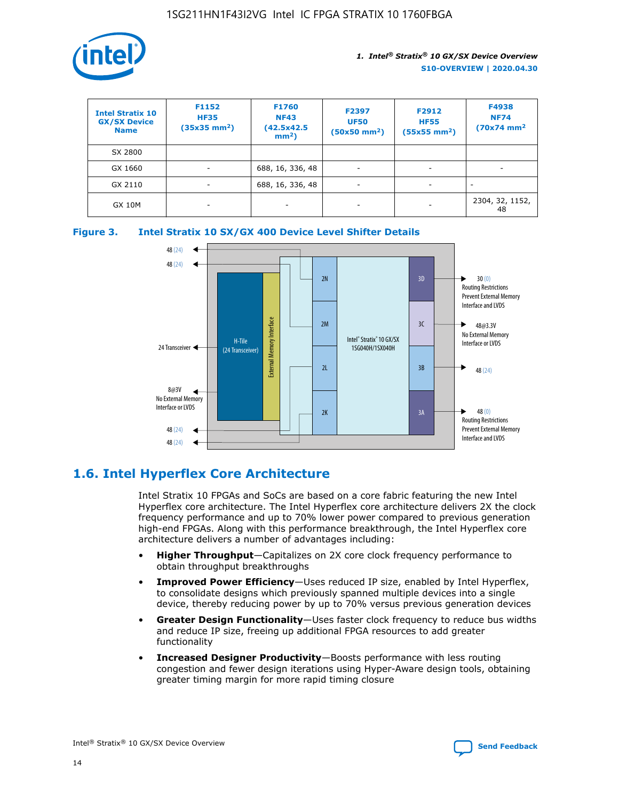

| <b>Intel Stratix 10</b><br><b>GX/SX Device</b><br><b>Name</b> | F1152<br><b>HF35</b><br>$(35x35)$ mm <sup>2</sup> ) | F1760<br><b>NF43</b><br>(42.5x42.5<br>$mm2$ ) | F2397<br><b>UF50</b><br>$(50x50 \text{ mm}^2)$ | F2912<br><b>HF55</b><br>$(55x55$ mm <sup>2</sup> ) | F4938<br><b>NF74</b><br>$(70x74)$ mm <sup>2</sup> |
|---------------------------------------------------------------|-----------------------------------------------------|-----------------------------------------------|------------------------------------------------|----------------------------------------------------|---------------------------------------------------|
| SX 2800                                                       |                                                     |                                               |                                                |                                                    |                                                   |
| GX 1660                                                       | -                                                   | 688, 16, 336, 48                              | $\overline{\phantom{a}}$                       |                                                    |                                                   |
| GX 2110                                                       |                                                     | 688, 16, 336, 48                              | $\overline{\phantom{a}}$                       |                                                    |                                                   |
| <b>GX 10M</b>                                                 | ۰                                                   |                                               |                                                |                                                    | 2304, 32, 1152,<br>48                             |





## **1.6. Intel Hyperflex Core Architecture**

Intel Stratix 10 FPGAs and SoCs are based on a core fabric featuring the new Intel Hyperflex core architecture. The Intel Hyperflex core architecture delivers 2X the clock frequency performance and up to 70% lower power compared to previous generation high-end FPGAs. Along with this performance breakthrough, the Intel Hyperflex core architecture delivers a number of advantages including:

- **Higher Throughput**—Capitalizes on 2X core clock frequency performance to obtain throughput breakthroughs
- **Improved Power Efficiency**—Uses reduced IP size, enabled by Intel Hyperflex, to consolidate designs which previously spanned multiple devices into a single device, thereby reducing power by up to 70% versus previous generation devices
- **Greater Design Functionality**—Uses faster clock frequency to reduce bus widths and reduce IP size, freeing up additional FPGA resources to add greater functionality
- **Increased Designer Productivity**—Boosts performance with less routing congestion and fewer design iterations using Hyper-Aware design tools, obtaining greater timing margin for more rapid timing closure

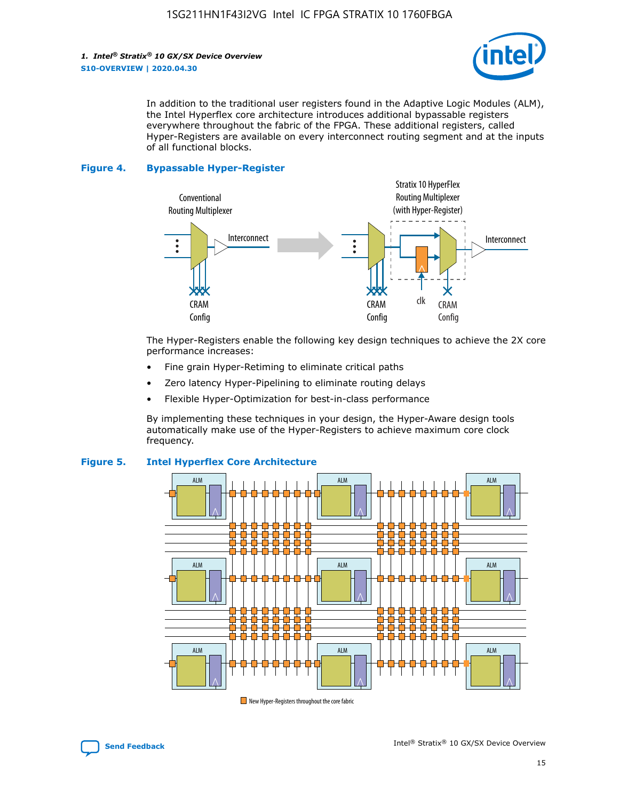

In addition to the traditional user registers found in the Adaptive Logic Modules (ALM), the Intel Hyperflex core architecture introduces additional bypassable registers everywhere throughout the fabric of the FPGA. These additional registers, called Hyper-Registers are available on every interconnect routing segment and at the inputs of all functional blocks.

#### **Figure 4. Bypassable Hyper-Register**



The Hyper-Registers enable the following key design techniques to achieve the 2X core performance increases:

- Fine grain Hyper-Retiming to eliminate critical paths
- Zero latency Hyper-Pipelining to eliminate routing delays
- Flexible Hyper-Optimization for best-in-class performance

By implementing these techniques in your design, the Hyper-Aware design tools automatically make use of the Hyper-Registers to achieve maximum core clock frequency.



## **Figure 5. Intel Hyperflex Core Architecture**

New Hyper-Registers throughout the core fabric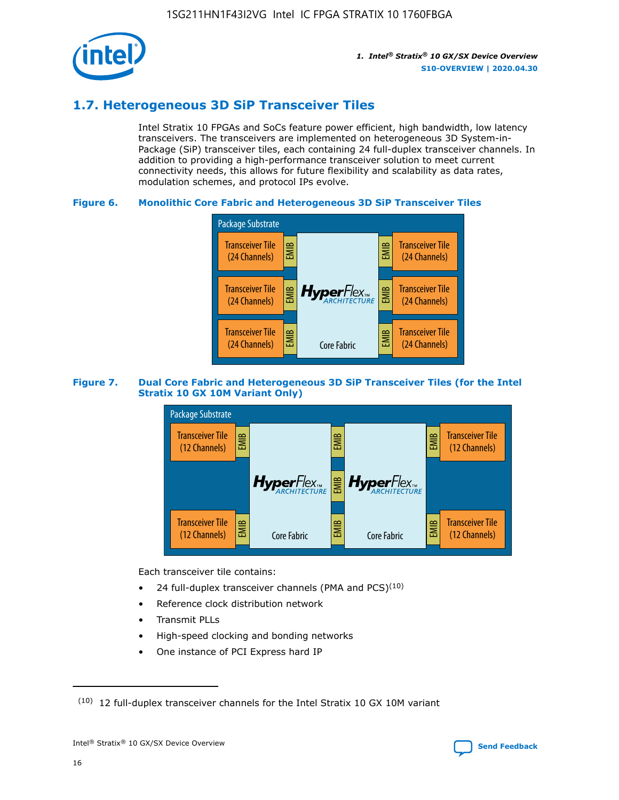

## **1.7. Heterogeneous 3D SiP Transceiver Tiles**

Intel Stratix 10 FPGAs and SoCs feature power efficient, high bandwidth, low latency transceivers. The transceivers are implemented on heterogeneous 3D System-in-Package (SiP) transceiver tiles, each containing 24 full-duplex transceiver channels. In addition to providing a high-performance transceiver solution to meet current connectivity needs, this allows for future flexibility and scalability as data rates, modulation schemes, and protocol IPs evolve.

## **Figure 6. Monolithic Core Fabric and Heterogeneous 3D SiP Transceiver Tiles**



## **Figure 7. Dual Core Fabric and Heterogeneous 3D SiP Transceiver Tiles (for the Intel Stratix 10 GX 10M Variant Only)**



Each transceiver tile contains:

- 24 full-duplex transceiver channels (PMA and PCS) $(10)$
- Reference clock distribution network
- Transmit PLLs
- High-speed clocking and bonding networks
- One instance of PCI Express hard IP

 $(10)$  12 full-duplex transceiver channels for the Intel Stratix 10 GX 10M variant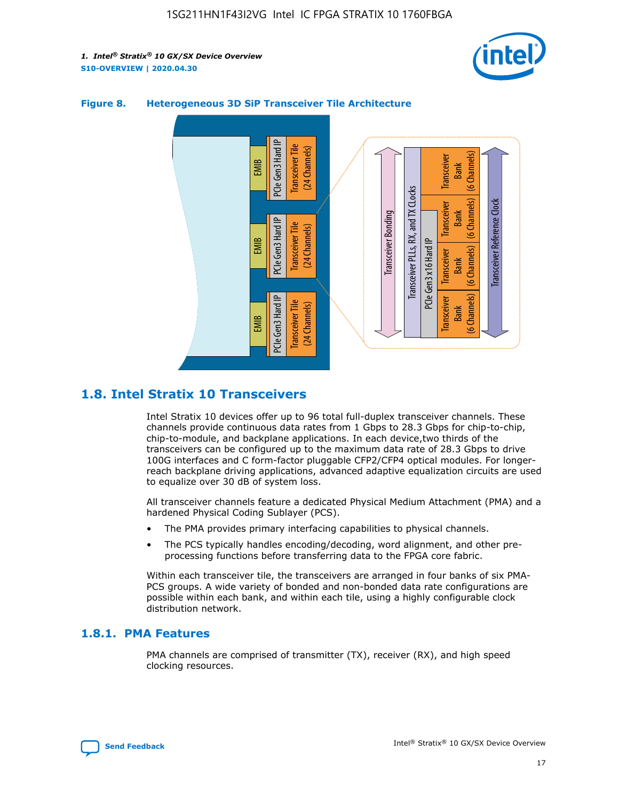



## **Figure 8. Heterogeneous 3D SiP Transceiver Tile Architecture**

## **1.8. Intel Stratix 10 Transceivers**

Intel Stratix 10 devices offer up to 96 total full-duplex transceiver channels. These channels provide continuous data rates from 1 Gbps to 28.3 Gbps for chip-to-chip, chip-to-module, and backplane applications. In each device,two thirds of the transceivers can be configured up to the maximum data rate of 28.3 Gbps to drive 100G interfaces and C form-factor pluggable CFP2/CFP4 optical modules. For longerreach backplane driving applications, advanced adaptive equalization circuits are used to equalize over 30 dB of system loss.

All transceiver channels feature a dedicated Physical Medium Attachment (PMA) and a hardened Physical Coding Sublayer (PCS).

- The PMA provides primary interfacing capabilities to physical channels.
- The PCS typically handles encoding/decoding, word alignment, and other preprocessing functions before transferring data to the FPGA core fabric.

Within each transceiver tile, the transceivers are arranged in four banks of six PMA-PCS groups. A wide variety of bonded and non-bonded data rate configurations are possible within each bank, and within each tile, using a highly configurable clock distribution network.

## **1.8.1. PMA Features**

PMA channels are comprised of transmitter (TX), receiver (RX), and high speed clocking resources.

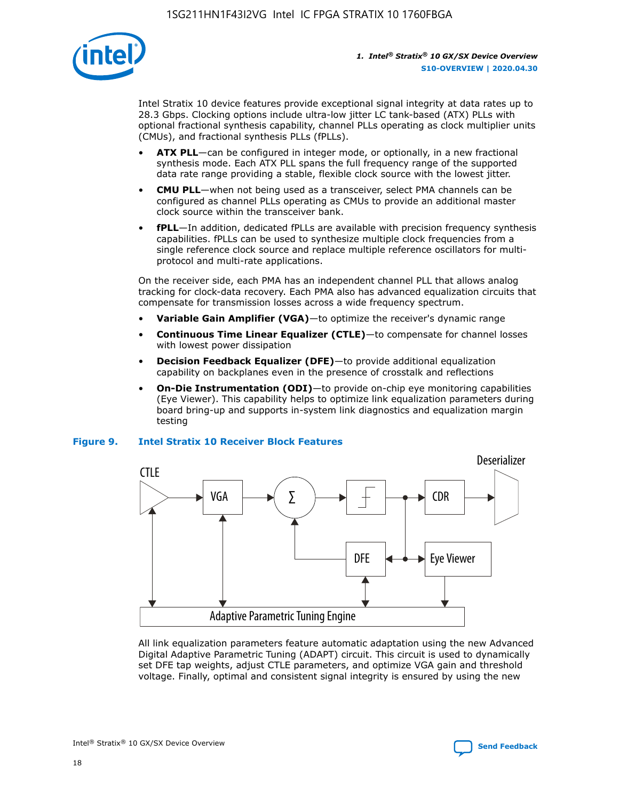

Intel Stratix 10 device features provide exceptional signal integrity at data rates up to 28.3 Gbps. Clocking options include ultra-low jitter LC tank-based (ATX) PLLs with optional fractional synthesis capability, channel PLLs operating as clock multiplier units (CMUs), and fractional synthesis PLLs (fPLLs).

- **ATX PLL**—can be configured in integer mode, or optionally, in a new fractional synthesis mode. Each ATX PLL spans the full frequency range of the supported data rate range providing a stable, flexible clock source with the lowest jitter.
- **CMU PLL**—when not being used as a transceiver, select PMA channels can be configured as channel PLLs operating as CMUs to provide an additional master clock source within the transceiver bank.
- **fPLL**—In addition, dedicated fPLLs are available with precision frequency synthesis capabilities. fPLLs can be used to synthesize multiple clock frequencies from a single reference clock source and replace multiple reference oscillators for multiprotocol and multi-rate applications.

On the receiver side, each PMA has an independent channel PLL that allows analog tracking for clock-data recovery. Each PMA also has advanced equalization circuits that compensate for transmission losses across a wide frequency spectrum.

- **Variable Gain Amplifier (VGA)**—to optimize the receiver's dynamic range
- **Continuous Time Linear Equalizer (CTLE)**—to compensate for channel losses with lowest power dissipation
- **Decision Feedback Equalizer (DFE)**—to provide additional equalization capability on backplanes even in the presence of crosstalk and reflections
- **On-Die Instrumentation (ODI)**—to provide on-chip eye monitoring capabilities (Eye Viewer). This capability helps to optimize link equalization parameters during board bring-up and supports in-system link diagnostics and equalization margin testing

## **Figure 9. Intel Stratix 10 Receiver Block Features**



All link equalization parameters feature automatic adaptation using the new Advanced Digital Adaptive Parametric Tuning (ADAPT) circuit. This circuit is used to dynamically set DFE tap weights, adjust CTLE parameters, and optimize VGA gain and threshold voltage. Finally, optimal and consistent signal integrity is ensured by using the new



Intel<sup>®</sup> Stratix<sup>®</sup> 10 GX/SX Device Overview **[Send Feedback](mailto:FPGAtechdocfeedback@intel.com?subject=Feedback%20on%20Intel%20Stratix%2010%20GX/SX%20Device%20Overview%20(S10-OVERVIEW%202020.04.30)&body=We%20appreciate%20your%20feedback.%20In%20your%20comments,%20also%20specify%20the%20page%20number%20or%20paragraph.%20Thank%20you.)** Send Feedback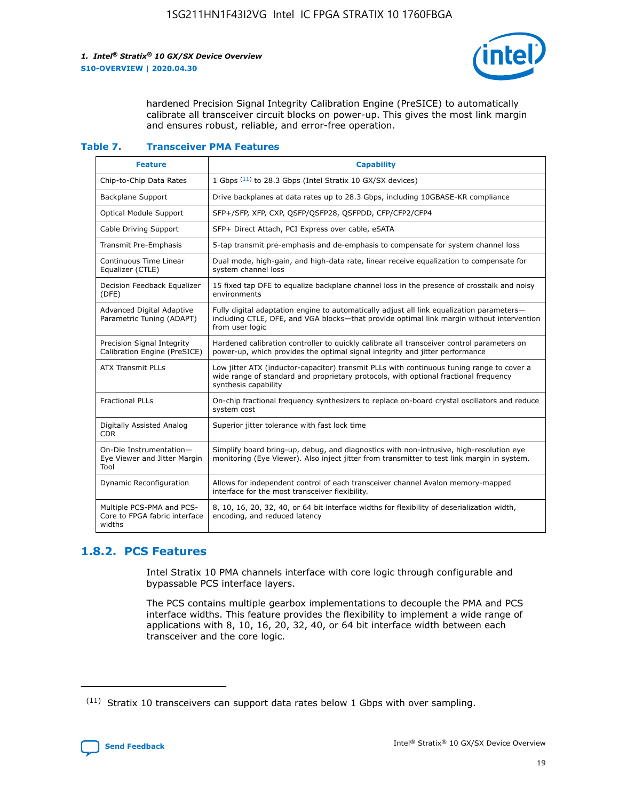

hardened Precision Signal Integrity Calibration Engine (PreSICE) to automatically calibrate all transceiver circuit blocks on power-up. This gives the most link margin and ensures robust, reliable, and error-free operation.

#### **Table 7. Transceiver PMA Features**

| <b>Feature</b>                                                       | <b>Capability</b>                                                                                                                                                                                         |
|----------------------------------------------------------------------|-----------------------------------------------------------------------------------------------------------------------------------------------------------------------------------------------------------|
| Chip-to-Chip Data Rates                                              | 1 Gbps (11) to 28.3 Gbps (Intel Stratix 10 GX/SX devices)                                                                                                                                                 |
| <b>Backplane Support</b>                                             | Drive backplanes at data rates up to 28.3 Gbps, including 10GBASE-KR compliance                                                                                                                           |
| Optical Module Support                                               | SFP+/SFP, XFP, CXP, QSFP/QSFP28, QSFPDD, CFP/CFP2/CFP4                                                                                                                                                    |
| Cable Driving Support                                                | SFP+ Direct Attach, PCI Express over cable, eSATA                                                                                                                                                         |
| <b>Transmit Pre-Emphasis</b>                                         | 5-tap transmit pre-emphasis and de-emphasis to compensate for system channel loss                                                                                                                         |
| Continuous Time Linear<br>Equalizer (CTLE)                           | Dual mode, high-gain, and high-data rate, linear receive equalization to compensate for<br>system channel loss                                                                                            |
| Decision Feedback Equalizer<br>(DFE)                                 | 15 fixed tap DFE to equalize backplane channel loss in the presence of crosstalk and noisy<br>environments                                                                                                |
| Advanced Digital Adaptive<br>Parametric Tuning (ADAPT)               | Fully digital adaptation engine to automatically adjust all link equalization parameters-<br>including CTLE, DFE, and VGA blocks—that provide optimal link margin without intervention<br>from user logic |
| Precision Signal Integrity<br>Calibration Engine (PreSICE)           | Hardened calibration controller to quickly calibrate all transceiver control parameters on<br>power-up, which provides the optimal signal integrity and jitter performance                                |
| <b>ATX Transmit PLLs</b>                                             | Low jitter ATX (inductor-capacitor) transmit PLLs with continuous tuning range to cover a<br>wide range of standard and proprietary protocols, with optional fractional frequency<br>synthesis capability |
| <b>Fractional PLLs</b>                                               | On-chip fractional frequency synthesizers to replace on-board crystal oscillators and reduce<br>system cost                                                                                               |
| Digitally Assisted Analog<br>CDR.                                    | Superior jitter tolerance with fast lock time                                                                                                                                                             |
| On-Die Instrumentation-<br>Eye Viewer and Jitter Margin<br>Tool      | Simplify board bring-up, debug, and diagnostics with non-intrusive, high-resolution eye<br>monitoring (Eye Viewer). Also inject jitter from transmitter to test link margin in system.                    |
| Dynamic Reconfiguration                                              | Allows for independent control of each transceiver channel Avalon memory-mapped<br>interface for the most transceiver flexibility.                                                                        |
| Multiple PCS-PMA and PCS-<br>Core to FPGA fabric interface<br>widths | 8, 10, 16, 20, 32, 40, or 64 bit interface widths for flexibility of deserialization width,<br>encoding, and reduced latency                                                                              |

## **1.8.2. PCS Features**

Intel Stratix 10 PMA channels interface with core logic through configurable and bypassable PCS interface layers.

The PCS contains multiple gearbox implementations to decouple the PMA and PCS interface widths. This feature provides the flexibility to implement a wide range of applications with 8, 10, 16, 20, 32, 40, or 64 bit interface width between each transceiver and the core logic.

 $(11)$  Stratix 10 transceivers can support data rates below 1 Gbps with over sampling.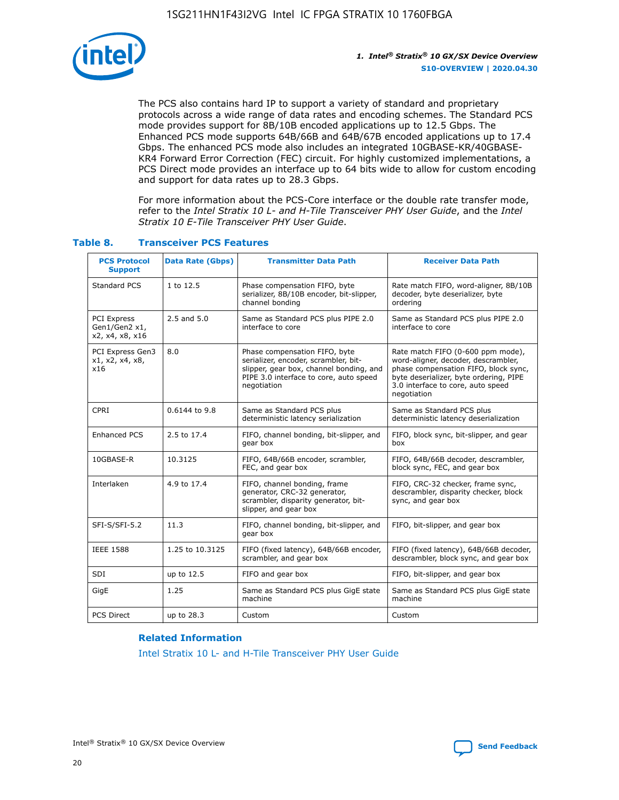

The PCS also contains hard IP to support a variety of standard and proprietary protocols across a wide range of data rates and encoding schemes. The Standard PCS mode provides support for 8B/10B encoded applications up to 12.5 Gbps. The Enhanced PCS mode supports 64B/66B and 64B/67B encoded applications up to 17.4 Gbps. The enhanced PCS mode also includes an integrated 10GBASE-KR/40GBASE-KR4 Forward Error Correction (FEC) circuit. For highly customized implementations, a PCS Direct mode provides an interface up to 64 bits wide to allow for custom encoding and support for data rates up to 28.3 Gbps.

For more information about the PCS-Core interface or the double rate transfer mode, refer to the *Intel Stratix 10 L- and H-Tile Transceiver PHY User Guide*, and the *Intel Stratix 10 E-Tile Transceiver PHY User Guide*.

| <b>PCS Protocol</b><br><b>Support</b>           | <b>Data Rate (Gbps)</b> | <b>Transmitter Data Path</b>                                                                                                                                              | <b>Receiver Data Path</b>                                                                                                                                                                                      |
|-------------------------------------------------|-------------------------|---------------------------------------------------------------------------------------------------------------------------------------------------------------------------|----------------------------------------------------------------------------------------------------------------------------------------------------------------------------------------------------------------|
| Standard PCS                                    | 1 to 12.5               | Phase compensation FIFO, byte<br>serializer, 8B/10B encoder, bit-slipper,<br>channel bonding                                                                              | Rate match FIFO, word-aligner, 8B/10B<br>decoder, byte deserializer, byte<br>ordering                                                                                                                          |
| PCI Express<br>Gen1/Gen2 x1,<br>x2, x4, x8, x16 | $2.5$ and $5.0$         | Same as Standard PCS plus PIPE 2.0<br>interface to core                                                                                                                   | Same as Standard PCS plus PIPE 2.0<br>interface to core                                                                                                                                                        |
| PCI Express Gen3<br>x1, x2, x4, x8,<br>x16      | 8.0                     | Phase compensation FIFO, byte<br>serializer, encoder, scrambler, bit-<br>slipper, gear box, channel bonding, and<br>PIPE 3.0 interface to core, auto speed<br>negotiation | Rate match FIFO (0-600 ppm mode),<br>word-aligner, decoder, descrambler,<br>phase compensation FIFO, block sync,<br>byte deserializer, byte ordering, PIPE<br>3.0 interface to core, auto speed<br>negotiation |
| CPRI                                            | 0.6144 to 9.8           | Same as Standard PCS plus<br>deterministic latency serialization                                                                                                          | Same as Standard PCS plus<br>deterministic latency deserialization                                                                                                                                             |
| <b>Enhanced PCS</b>                             | 2.5 to 17.4             | FIFO, channel bonding, bit-slipper, and<br>gear box                                                                                                                       | FIFO, block sync, bit-slipper, and gear<br>box                                                                                                                                                                 |
| 10GBASE-R                                       | 10.3125                 | FIFO, 64B/66B encoder, scrambler,<br>FEC, and gear box                                                                                                                    | FIFO, 64B/66B decoder, descrambler,<br>block sync, FEC, and gear box                                                                                                                                           |
| Interlaken                                      | 4.9 to 17.4             | FIFO, channel bonding, frame<br>generator, CRC-32 generator,<br>scrambler, disparity generator, bit-<br>slipper, and gear box                                             | FIFO, CRC-32 checker, frame sync,<br>descrambler, disparity checker, block<br>sync, and gear box                                                                                                               |
| SFI-S/SFI-5.2                                   | 11.3                    | FIFO, channel bonding, bit-slipper, and<br>gear box                                                                                                                       | FIFO, bit-slipper, and gear box                                                                                                                                                                                |
| <b>IEEE 1588</b>                                | 1.25 to 10.3125         | FIFO (fixed latency), 64B/66B encoder,<br>scrambler, and gear box                                                                                                         | FIFO (fixed latency), 64B/66B decoder,<br>descrambler, block sync, and gear box                                                                                                                                |
| SDI                                             | up to 12.5              | FIFO and gear box                                                                                                                                                         | FIFO, bit-slipper, and gear box                                                                                                                                                                                |
| GigE                                            | 1.25                    | Same as Standard PCS plus GigE state<br>machine                                                                                                                           | Same as Standard PCS plus GigE state<br>machine                                                                                                                                                                |
| <b>PCS Direct</b>                               | up to 28.3              | Custom                                                                                                                                                                    | Custom                                                                                                                                                                                                         |

## **Table 8. Transceiver PCS Features**

#### **Related Information**

[Intel Stratix 10 L- and H-Tile Transceiver PHY User Guide](https://www.altera.com/documentation/wry1479165198810.html)

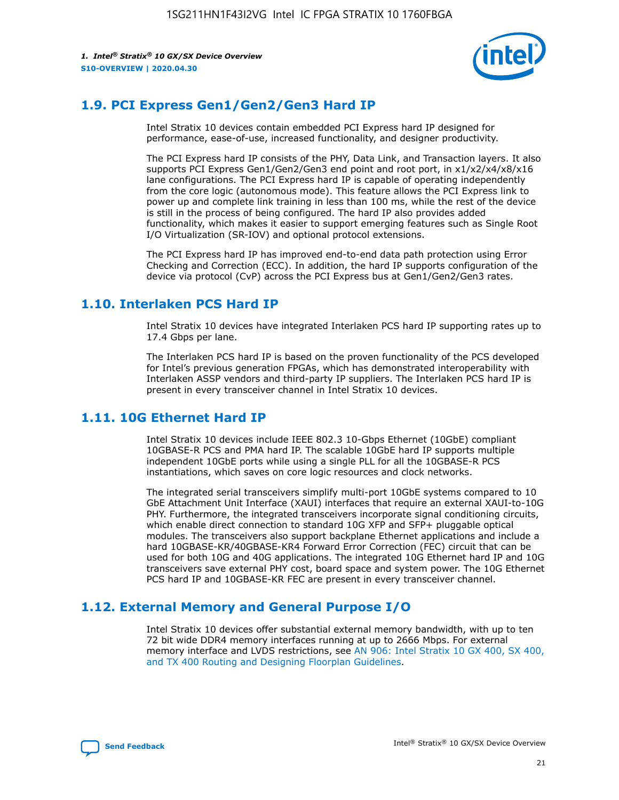

## **1.9. PCI Express Gen1/Gen2/Gen3 Hard IP**

Intel Stratix 10 devices contain embedded PCI Express hard IP designed for performance, ease-of-use, increased functionality, and designer productivity.

The PCI Express hard IP consists of the PHY, Data Link, and Transaction layers. It also supports PCI Express Gen1/Gen2/Gen3 end point and root port, in x1/x2/x4/x8/x16 lane configurations. The PCI Express hard IP is capable of operating independently from the core logic (autonomous mode). This feature allows the PCI Express link to power up and complete link training in less than 100 ms, while the rest of the device is still in the process of being configured. The hard IP also provides added functionality, which makes it easier to support emerging features such as Single Root I/O Virtualization (SR-IOV) and optional protocol extensions.

The PCI Express hard IP has improved end-to-end data path protection using Error Checking and Correction (ECC). In addition, the hard IP supports configuration of the device via protocol (CvP) across the PCI Express bus at Gen1/Gen2/Gen3 rates.

## **1.10. Interlaken PCS Hard IP**

Intel Stratix 10 devices have integrated Interlaken PCS hard IP supporting rates up to 17.4 Gbps per lane.

The Interlaken PCS hard IP is based on the proven functionality of the PCS developed for Intel's previous generation FPGAs, which has demonstrated interoperability with Interlaken ASSP vendors and third-party IP suppliers. The Interlaken PCS hard IP is present in every transceiver channel in Intel Stratix 10 devices.

## **1.11. 10G Ethernet Hard IP**

Intel Stratix 10 devices include IEEE 802.3 10-Gbps Ethernet (10GbE) compliant 10GBASE-R PCS and PMA hard IP. The scalable 10GbE hard IP supports multiple independent 10GbE ports while using a single PLL for all the 10GBASE-R PCS instantiations, which saves on core logic resources and clock networks.

The integrated serial transceivers simplify multi-port 10GbE systems compared to 10 GbE Attachment Unit Interface (XAUI) interfaces that require an external XAUI-to-10G PHY. Furthermore, the integrated transceivers incorporate signal conditioning circuits, which enable direct connection to standard 10G XFP and SFP+ pluggable optical modules. The transceivers also support backplane Ethernet applications and include a hard 10GBASE-KR/40GBASE-KR4 Forward Error Correction (FEC) circuit that can be used for both 10G and 40G applications. The integrated 10G Ethernet hard IP and 10G transceivers save external PHY cost, board space and system power. The 10G Ethernet PCS hard IP and 10GBASE-KR FEC are present in every transceiver channel.

## **1.12. External Memory and General Purpose I/O**

Intel Stratix 10 devices offer substantial external memory bandwidth, with up to ten 72 bit wide DDR4 memory interfaces running at up to 2666 Mbps. For external memory interface and LVDS restrictions, see [AN 906: Intel Stratix 10 GX 400, SX 400,](https://www.intel.com/content/www/us/en/programmable/documentation/sjf1574667190623.html#bft1574667627484) [and TX 400 Routing and Designing Floorplan Guidelines.](https://www.intel.com/content/www/us/en/programmable/documentation/sjf1574667190623.html#bft1574667627484)

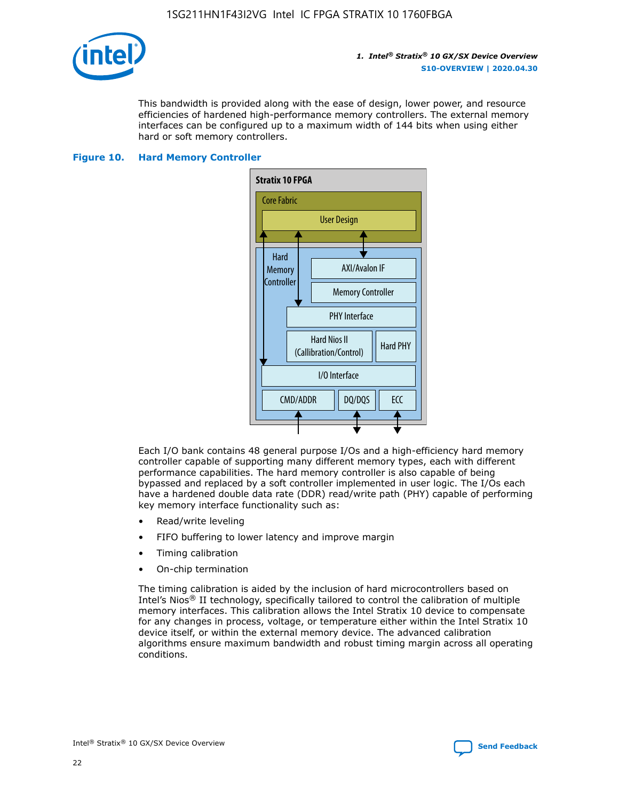

This bandwidth is provided along with the ease of design, lower power, and resource efficiencies of hardened high-performance memory controllers. The external memory interfaces can be configured up to a maximum width of 144 bits when using either hard or soft memory controllers.

## **Figure 10. Hard Memory Controller**



Each I/O bank contains 48 general purpose I/Os and a high-efficiency hard memory controller capable of supporting many different memory types, each with different performance capabilities. The hard memory controller is also capable of being bypassed and replaced by a soft controller implemented in user logic. The I/Os each have a hardened double data rate (DDR) read/write path (PHY) capable of performing key memory interface functionality such as:

- Read/write leveling
- FIFO buffering to lower latency and improve margin
- Timing calibration
- On-chip termination

The timing calibration is aided by the inclusion of hard microcontrollers based on Intel's Nios® II technology, specifically tailored to control the calibration of multiple memory interfaces. This calibration allows the Intel Stratix 10 device to compensate for any changes in process, voltage, or temperature either within the Intel Stratix 10 device itself, or within the external memory device. The advanced calibration algorithms ensure maximum bandwidth and robust timing margin across all operating conditions.

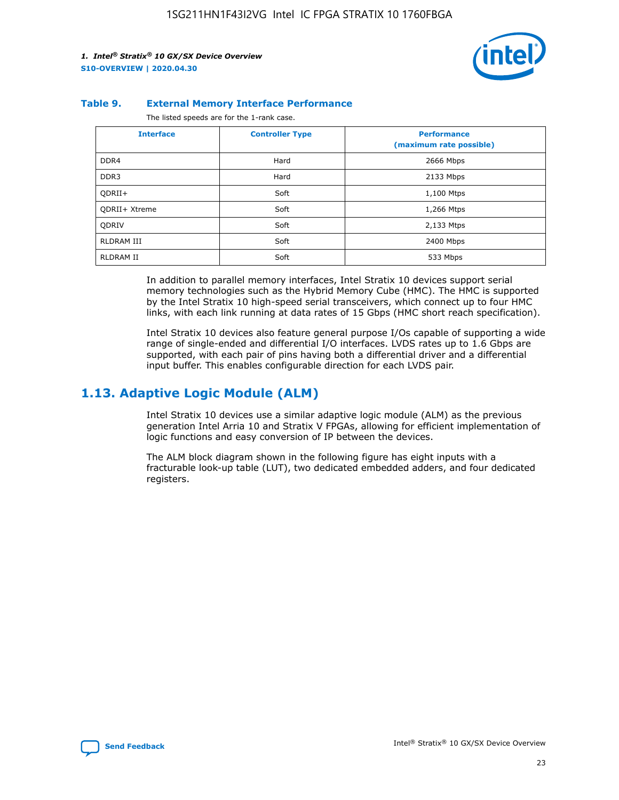

#### **Table 9. External Memory Interface Performance**

The listed speeds are for the 1-rank case.

| <b>Interface</b>     | <b>Controller Type</b> | <b>Performance</b><br>(maximum rate possible) |
|----------------------|------------------------|-----------------------------------------------|
| DDR4                 | Hard                   | 2666 Mbps                                     |
| DDR <sub>3</sub>     | Hard                   | 2133 Mbps                                     |
| QDRII+               | Soft                   | 1,100 Mtps                                    |
| <b>ODRII+ Xtreme</b> | Soft                   | 1,266 Mtps                                    |
| <b>ODRIV</b>         | Soft                   | 2,133 Mtps                                    |
| RLDRAM III           | Soft                   | 2400 Mbps                                     |
| <b>RLDRAM II</b>     | Soft                   | 533 Mbps                                      |

In addition to parallel memory interfaces, Intel Stratix 10 devices support serial memory technologies such as the Hybrid Memory Cube (HMC). The HMC is supported by the Intel Stratix 10 high-speed serial transceivers, which connect up to four HMC links, with each link running at data rates of 15 Gbps (HMC short reach specification).

Intel Stratix 10 devices also feature general purpose I/Os capable of supporting a wide range of single-ended and differential I/O interfaces. LVDS rates up to 1.6 Gbps are supported, with each pair of pins having both a differential driver and a differential input buffer. This enables configurable direction for each LVDS pair.

## **1.13. Adaptive Logic Module (ALM)**

Intel Stratix 10 devices use a similar adaptive logic module (ALM) as the previous generation Intel Arria 10 and Stratix V FPGAs, allowing for efficient implementation of logic functions and easy conversion of IP between the devices.

The ALM block diagram shown in the following figure has eight inputs with a fracturable look-up table (LUT), two dedicated embedded adders, and four dedicated registers.

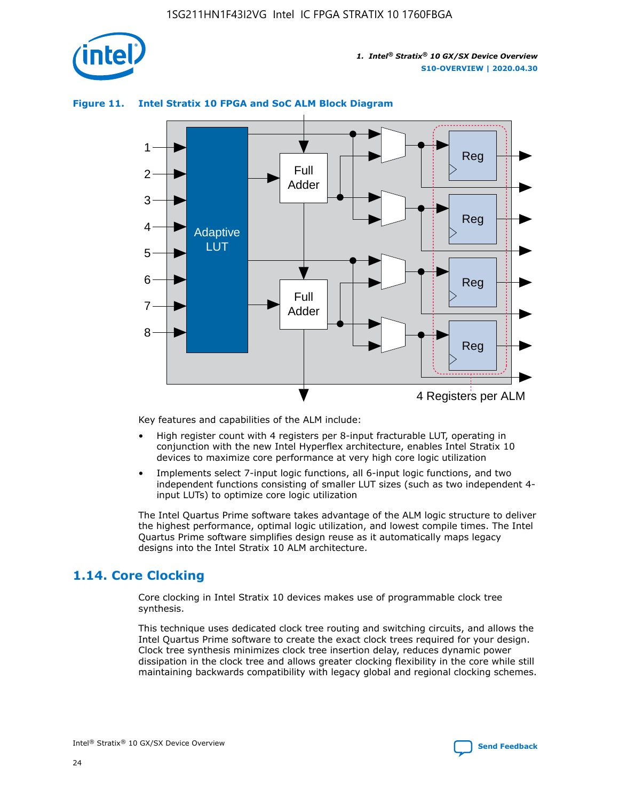

## **Figure 11. Intel Stratix 10 FPGA and SoC ALM Block Diagram**



Key features and capabilities of the ALM include:

- High register count with 4 registers per 8-input fracturable LUT, operating in conjunction with the new Intel Hyperflex architecture, enables Intel Stratix 10 devices to maximize core performance at very high core logic utilization
- Implements select 7-input logic functions, all 6-input logic functions, and two independent functions consisting of smaller LUT sizes (such as two independent 4 input LUTs) to optimize core logic utilization

The Intel Quartus Prime software takes advantage of the ALM logic structure to deliver the highest performance, optimal logic utilization, and lowest compile times. The Intel Quartus Prime software simplifies design reuse as it automatically maps legacy designs into the Intel Stratix 10 ALM architecture.

## **1.14. Core Clocking**

Core clocking in Intel Stratix 10 devices makes use of programmable clock tree synthesis.

This technique uses dedicated clock tree routing and switching circuits, and allows the Intel Quartus Prime software to create the exact clock trees required for your design. Clock tree synthesis minimizes clock tree insertion delay, reduces dynamic power dissipation in the clock tree and allows greater clocking flexibility in the core while still maintaining backwards compatibility with legacy global and regional clocking schemes.

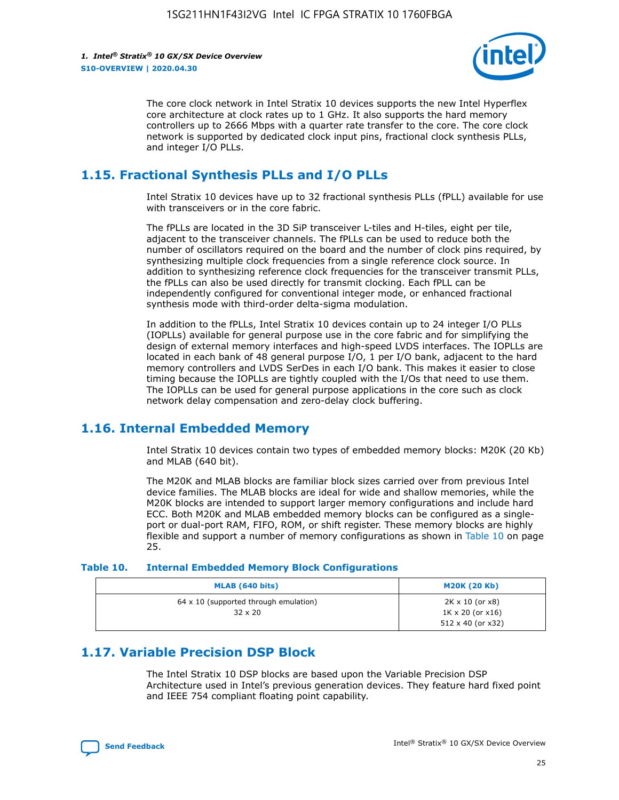

The core clock network in Intel Stratix 10 devices supports the new Intel Hyperflex core architecture at clock rates up to 1 GHz. It also supports the hard memory controllers up to 2666 Mbps with a quarter rate transfer to the core. The core clock network is supported by dedicated clock input pins, fractional clock synthesis PLLs, and integer I/O PLLs.

## **1.15. Fractional Synthesis PLLs and I/O PLLs**

Intel Stratix 10 devices have up to 32 fractional synthesis PLLs (fPLL) available for use with transceivers or in the core fabric.

The fPLLs are located in the 3D SiP transceiver L-tiles and H-tiles, eight per tile, adjacent to the transceiver channels. The fPLLs can be used to reduce both the number of oscillators required on the board and the number of clock pins required, by synthesizing multiple clock frequencies from a single reference clock source. In addition to synthesizing reference clock frequencies for the transceiver transmit PLLs, the fPLLs can also be used directly for transmit clocking. Each fPLL can be independently configured for conventional integer mode, or enhanced fractional synthesis mode with third-order delta-sigma modulation.

In addition to the fPLLs, Intel Stratix 10 devices contain up to 24 integer I/O PLLs (IOPLLs) available for general purpose use in the core fabric and for simplifying the design of external memory interfaces and high-speed LVDS interfaces. The IOPLLs are located in each bank of 48 general purpose I/O, 1 per I/O bank, adjacent to the hard memory controllers and LVDS SerDes in each I/O bank. This makes it easier to close timing because the IOPLLs are tightly coupled with the I/Os that need to use them. The IOPLLs can be used for general purpose applications in the core such as clock network delay compensation and zero-delay clock buffering.

## **1.16. Internal Embedded Memory**

Intel Stratix 10 devices contain two types of embedded memory blocks: M20K (20 Kb) and MLAB (640 bit).

The M20K and MLAB blocks are familiar block sizes carried over from previous Intel device families. The MLAB blocks are ideal for wide and shallow memories, while the M20K blocks are intended to support larger memory configurations and include hard ECC. Both M20K and MLAB embedded memory blocks can be configured as a singleport or dual-port RAM, FIFO, ROM, or shift register. These memory blocks are highly flexible and support a number of memory configurations as shown in Table 10 on page 25.

#### **Table 10. Internal Embedded Memory Block Configurations**

| MLAB (640 bits)                                                | <b>M20K (20 Kb)</b>                                                                    |
|----------------------------------------------------------------|----------------------------------------------------------------------------------------|
| $64 \times 10$ (supported through emulation)<br>$32 \times 20$ | $2K \times 10$ (or $x8$ )<br>$1K \times 20$ (or $x16$ )<br>$512 \times 40$ (or $x32$ ) |

## **1.17. Variable Precision DSP Block**

The Intel Stratix 10 DSP blocks are based upon the Variable Precision DSP Architecture used in Intel's previous generation devices. They feature hard fixed point and IEEE 754 compliant floating point capability.

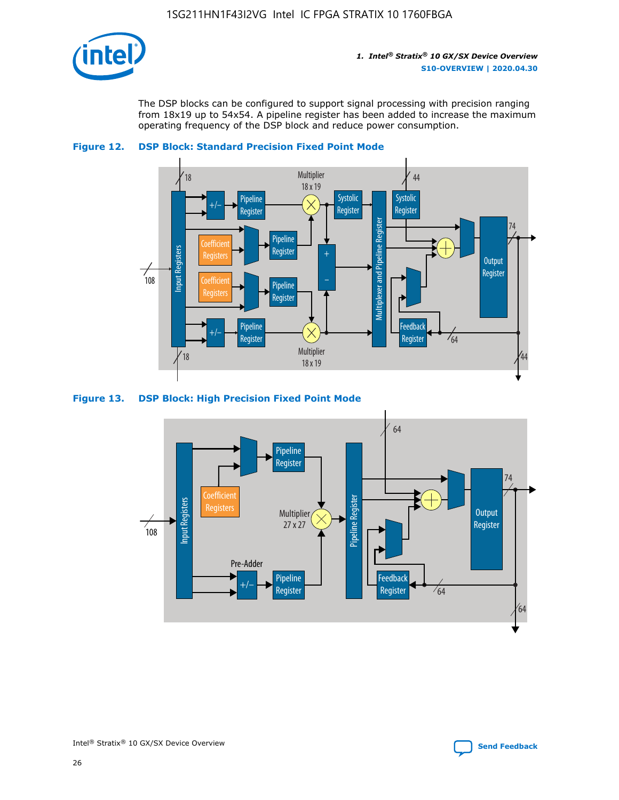

The DSP blocks can be configured to support signal processing with precision ranging from 18x19 up to 54x54. A pipeline register has been added to increase the maximum operating frequency of the DSP block and reduce power consumption.





#### **Figure 13. DSP Block: High Precision Fixed Point Mode**

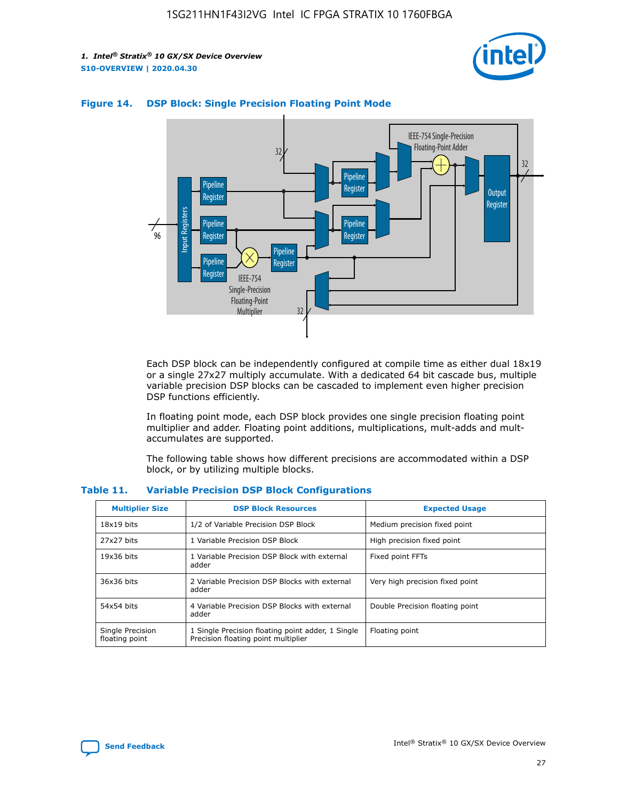



#### **Figure 14. DSP Block: Single Precision Floating Point Mode**

Each DSP block can be independently configured at compile time as either dual 18x19 or a single 27x27 multiply accumulate. With a dedicated 64 bit cascade bus, multiple variable precision DSP blocks can be cascaded to implement even higher precision DSP functions efficiently.

In floating point mode, each DSP block provides one single precision floating point multiplier and adder. Floating point additions, multiplications, mult-adds and multaccumulates are supported.

The following table shows how different precisions are accommodated within a DSP block, or by utilizing multiple blocks.

| <b>Multiplier Size</b>             | <b>DSP Block Resources</b>                                                               | <b>Expected Usage</b>           |
|------------------------------------|------------------------------------------------------------------------------------------|---------------------------------|
| $18x19$ bits                       | 1/2 of Variable Precision DSP Block                                                      | Medium precision fixed point    |
| 27x27 bits                         | 1 Variable Precision DSP Block                                                           | High precision fixed point      |
| $19x36$ bits                       | 1 Variable Precision DSP Block with external<br>adder                                    | Fixed point FFTs                |
| 36x36 bits                         | 2 Variable Precision DSP Blocks with external<br>adder                                   | Very high precision fixed point |
| 54x54 bits                         | 4 Variable Precision DSP Blocks with external<br>adder                                   | Double Precision floating point |
| Single Precision<br>floating point | 1 Single Precision floating point adder, 1 Single<br>Precision floating point multiplier | Floating point                  |

#### **Table 11. Variable Precision DSP Block Configurations**

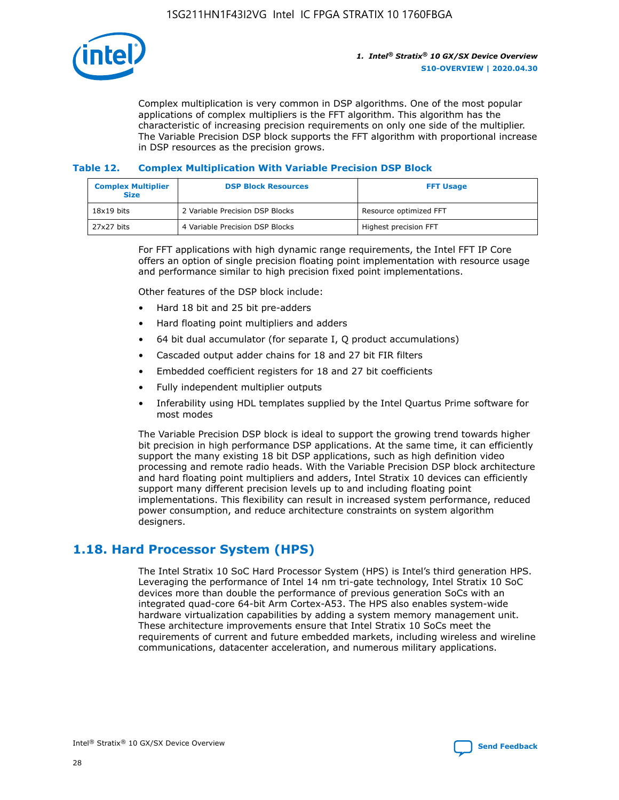

Complex multiplication is very common in DSP algorithms. One of the most popular applications of complex multipliers is the FFT algorithm. This algorithm has the characteristic of increasing precision requirements on only one side of the multiplier. The Variable Precision DSP block supports the FFT algorithm with proportional increase in DSP resources as the precision grows.

## **Table 12. Complex Multiplication With Variable Precision DSP Block**

| <b>Complex Multiplier</b><br><b>Size</b> | <b>DSP Block Resources</b>      | <b>FFT Usage</b>       |
|------------------------------------------|---------------------------------|------------------------|
| $18x19$ bits                             | 2 Variable Precision DSP Blocks | Resource optimized FFT |
| $27x27$ bits                             | 4 Variable Precision DSP Blocks | Highest precision FFT  |

For FFT applications with high dynamic range requirements, the Intel FFT IP Core offers an option of single precision floating point implementation with resource usage and performance similar to high precision fixed point implementations.

Other features of the DSP block include:

- Hard 18 bit and 25 bit pre-adders
- Hard floating point multipliers and adders
- 64 bit dual accumulator (for separate I, Q product accumulations)
- Cascaded output adder chains for 18 and 27 bit FIR filters
- Embedded coefficient registers for 18 and 27 bit coefficients
- Fully independent multiplier outputs
- Inferability using HDL templates supplied by the Intel Quartus Prime software for most modes

The Variable Precision DSP block is ideal to support the growing trend towards higher bit precision in high performance DSP applications. At the same time, it can efficiently support the many existing 18 bit DSP applications, such as high definition video processing and remote radio heads. With the Variable Precision DSP block architecture and hard floating point multipliers and adders, Intel Stratix 10 devices can efficiently support many different precision levels up to and including floating point implementations. This flexibility can result in increased system performance, reduced power consumption, and reduce architecture constraints on system algorithm designers.

## **1.18. Hard Processor System (HPS)**

The Intel Stratix 10 SoC Hard Processor System (HPS) is Intel's third generation HPS. Leveraging the performance of Intel 14 nm tri-gate technology, Intel Stratix 10 SoC devices more than double the performance of previous generation SoCs with an integrated quad-core 64-bit Arm Cortex-A53. The HPS also enables system-wide hardware virtualization capabilities by adding a system memory management unit. These architecture improvements ensure that Intel Stratix 10 SoCs meet the requirements of current and future embedded markets, including wireless and wireline communications, datacenter acceleration, and numerous military applications.

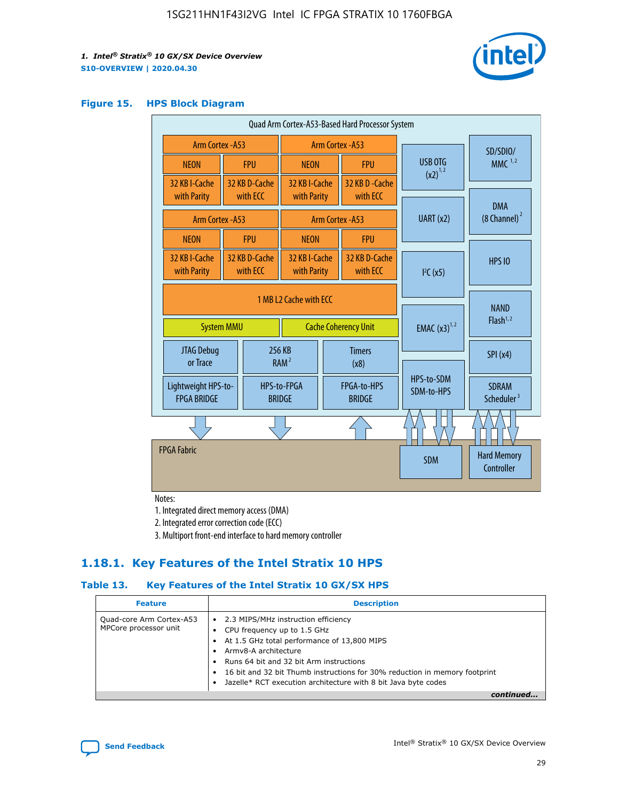

#### **Figure 15. HPS Block Diagram**

| Quad Arm Cortex-A53-Based Hard Processor System                            |                                             |                           |                                           |                                     |                              |                          |                                        |
|----------------------------------------------------------------------------|---------------------------------------------|---------------------------|-------------------------------------------|-------------------------------------|------------------------------|--------------------------|----------------------------------------|
|                                                                            | <b>Arm Cortex - A53</b><br>Arm Cortex - A53 |                           |                                           |                                     |                              | SD/SDIO/                 |                                        |
| <b>NEON</b>                                                                |                                             | <b>FPU</b>                | <b>NEON</b>                               |                                     | <b>FPU</b>                   | USB OTG                  | $MMC$ <sup>1,2</sup>                   |
| 32 KB I-Cache<br>with Parity                                               |                                             | 32 KB D-Cache<br>with ECC | 32 KB I-Cache<br>with Parity              |                                     | 32 KB D - Cache<br>with ECC  | $(x2)^{1,2}$             |                                        |
|                                                                            |                                             |                           |                                           |                                     |                              | UART (x2)                | <b>DMA</b><br>$(8 \text{ Channel})^2$  |
| Arm Cortex - A53                                                           |                                             |                           |                                           |                                     | Arm Cortex - A53             |                          |                                        |
| <b>NEON</b>                                                                |                                             | <b>FPU</b>                | <b>NEON</b>                               |                                     | <b>FPU</b>                   |                          |                                        |
| 32 KB I-Cache<br>with Parity                                               |                                             | 32 KB D-Cache<br>with ECC | 32 KB I-Cache<br>with ECC<br>with Parity  |                                     | 32 KB D-Cache                | I <sup>2</sup> C(x5)     | <b>HPS 10</b>                          |
| 1 MB L2 Cache with ECC<br><b>Cache Coherency Unit</b><br><b>System MMU</b> |                                             |                           | <b>EMAC</b> $(x3)^{1,2}$                  | <b>NAND</b><br>Flash <sup>1,2</sup> |                              |                          |                                        |
| JTAG Debug<br>or Trace                                                     |                                             | 256 KB                    | <b>Timers</b><br>RAM <sup>2</sup><br>(x8) |                                     |                              | SPI(x4)                  |                                        |
| Lightweight HPS-to-<br><b>FPGA BRIDGE</b>                                  |                                             |                           | HPS-to-FPGA<br><b>BRIDGE</b>              |                                     | FPGA-to-HPS<br><b>BRIDGE</b> | HPS-to-SDM<br>SDM-to-HPS | <b>SDRAM</b><br>Scheduler <sup>3</sup> |
|                                                                            |                                             |                           |                                           |                                     |                              |                          |                                        |
| <b>FPGA Fabric</b>                                                         |                                             |                           |                                           |                                     |                              | <b>SDM</b>               | <b>Hard Memory</b><br>Controller       |

Notes:

1. Integrated direct memory access (DMA)

2. Integrated error correction code (ECC)

3. Multiport front-end interface to hard memory controller

## **1.18.1. Key Features of the Intel Stratix 10 HPS**

## **Table 13. Key Features of the Intel Stratix 10 GX/SX HPS**

| <b>Feature</b>                                    | <b>Description</b>                                                                                                                                                                                                                                                                                                                                     |
|---------------------------------------------------|--------------------------------------------------------------------------------------------------------------------------------------------------------------------------------------------------------------------------------------------------------------------------------------------------------------------------------------------------------|
| Quad-core Arm Cortex-A53<br>MPCore processor unit | 2.3 MIPS/MHz instruction efficiency<br>$\bullet$<br>CPU frequency up to 1.5 GHz<br>٠<br>At 1.5 GHz total performance of 13,800 MIPS<br>Army8-A architecture<br>Runs 64 bit and 32 bit Arm instructions<br>16 bit and 32 bit Thumb instructions for 30% reduction in memory footprint<br>Jazelle* RCT execution architecture with 8 bit Java byte codes |
|                                                   |                                                                                                                                                                                                                                                                                                                                                        |

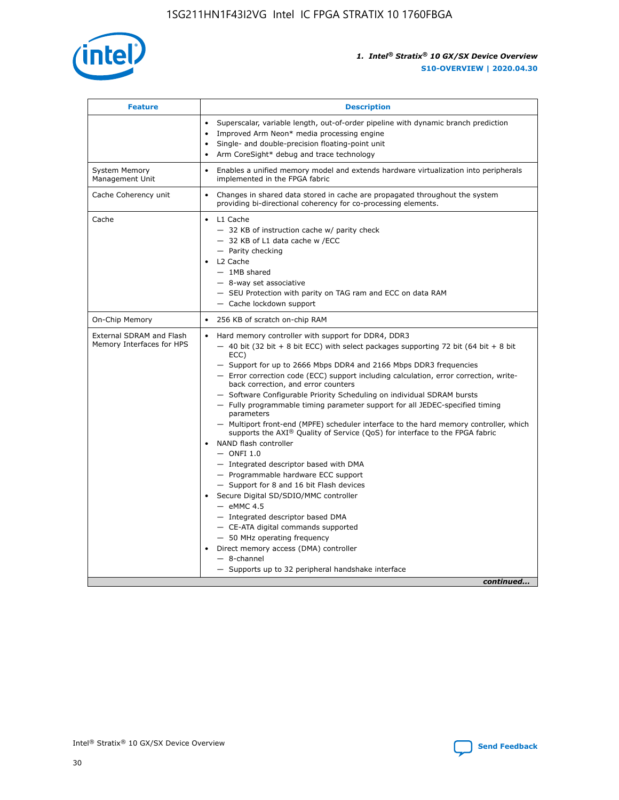

| <b>Feature</b>                                        | <b>Description</b>                                                                                                                                                                                                                                                                                                                                                                                                                                                                                                                                                                                                                                                                                                                                                                                                                                                                                                                                                                                                                                                                                                                                                                                                     |
|-------------------------------------------------------|------------------------------------------------------------------------------------------------------------------------------------------------------------------------------------------------------------------------------------------------------------------------------------------------------------------------------------------------------------------------------------------------------------------------------------------------------------------------------------------------------------------------------------------------------------------------------------------------------------------------------------------------------------------------------------------------------------------------------------------------------------------------------------------------------------------------------------------------------------------------------------------------------------------------------------------------------------------------------------------------------------------------------------------------------------------------------------------------------------------------------------------------------------------------------------------------------------------------|
|                                                       | Superscalar, variable length, out-of-order pipeline with dynamic branch prediction<br>Improved Arm Neon* media processing engine<br>$\bullet$<br>Single- and double-precision floating-point unit<br>Arm CoreSight* debug and trace technology<br>$\bullet$                                                                                                                                                                                                                                                                                                                                                                                                                                                                                                                                                                                                                                                                                                                                                                                                                                                                                                                                                            |
| <b>System Memory</b><br>Management Unit               | Enables a unified memory model and extends hardware virtualization into peripherals<br>$\bullet$<br>implemented in the FPGA fabric                                                                                                                                                                                                                                                                                                                                                                                                                                                                                                                                                                                                                                                                                                                                                                                                                                                                                                                                                                                                                                                                                     |
| Cache Coherency unit                                  | $\bullet$<br>Changes in shared data stored in cache are propagated throughout the system<br>providing bi-directional coherency for co-processing elements.                                                                                                                                                                                                                                                                                                                                                                                                                                                                                                                                                                                                                                                                                                                                                                                                                                                                                                                                                                                                                                                             |
| Cache                                                 | L1 Cache<br>$\bullet$<br>- 32 KB of instruction cache w/ parity check<br>- 32 KB of L1 data cache w /ECC<br>- Parity checking<br>L2 Cache<br>$-$ 1MB shared<br>- 8-way set associative<br>- SEU Protection with parity on TAG ram and ECC on data RAM<br>- Cache lockdown support                                                                                                                                                                                                                                                                                                                                                                                                                                                                                                                                                                                                                                                                                                                                                                                                                                                                                                                                      |
| On-Chip Memory                                        | 256 KB of scratch on-chip RAM<br>$\bullet$                                                                                                                                                                                                                                                                                                                                                                                                                                                                                                                                                                                                                                                                                                                                                                                                                                                                                                                                                                                                                                                                                                                                                                             |
| External SDRAM and Flash<br>Memory Interfaces for HPS | Hard memory controller with support for DDR4, DDR3<br>$\bullet$<br>$-$ 40 bit (32 bit + 8 bit ECC) with select packages supporting 72 bit (64 bit + 8 bit<br>ECC)<br>- Support for up to 2666 Mbps DDR4 and 2166 Mbps DDR3 frequencies<br>- Error correction code (ECC) support including calculation, error correction, write-<br>back correction, and error counters<br>- Software Configurable Priority Scheduling on individual SDRAM bursts<br>- Fully programmable timing parameter support for all JEDEC-specified timing<br>parameters<br>- Multiport front-end (MPFE) scheduler interface to the hard memory controller, which<br>supports the $AXI^{\circledR}$ Quality of Service (QoS) for interface to the FPGA fabric<br>NAND flash controller<br>$-$ ONFI 1.0<br>- Integrated descriptor based with DMA<br>- Programmable hardware ECC support<br>- Support for 8 and 16 bit Flash devices<br>Secure Digital SD/SDIO/MMC controller<br>$-$ eMMC 4.5<br>- Integrated descriptor based DMA<br>- CE-ATA digital commands supported<br>- 50 MHz operating frequency<br>Direct memory access (DMA) controller<br>$\bullet$<br>- 8-channel<br>- Supports up to 32 peripheral handshake interface<br>continued |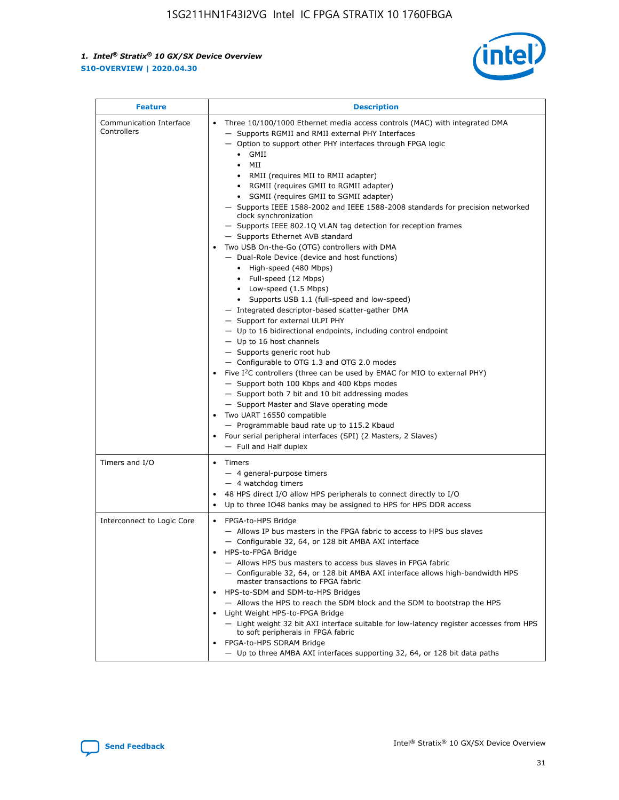

| <b>Feature</b>                         | <b>Description</b>                                                                                                                                                                                                                                                                                                                                                                                                                                                                                                                                                                                                                                                                                                                                                                                                                                                                                                                                                                                                                                                                                                                                                                                                                                                                                                                                                                                                                                                                                |
|----------------------------------------|---------------------------------------------------------------------------------------------------------------------------------------------------------------------------------------------------------------------------------------------------------------------------------------------------------------------------------------------------------------------------------------------------------------------------------------------------------------------------------------------------------------------------------------------------------------------------------------------------------------------------------------------------------------------------------------------------------------------------------------------------------------------------------------------------------------------------------------------------------------------------------------------------------------------------------------------------------------------------------------------------------------------------------------------------------------------------------------------------------------------------------------------------------------------------------------------------------------------------------------------------------------------------------------------------------------------------------------------------------------------------------------------------------------------------------------------------------------------------------------------------|
| Communication Interface<br>Controllers | Three 10/100/1000 Ethernet media access controls (MAC) with integrated DMA<br>- Supports RGMII and RMII external PHY Interfaces<br>- Option to support other PHY interfaces through FPGA logic<br>$\bullet$ GMII<br>MII<br>$\bullet$<br>RMII (requires MII to RMII adapter)<br>• RGMII (requires GMII to RGMII adapter)<br>• SGMII (requires GMII to SGMII adapter)<br>- Supports IEEE 1588-2002 and IEEE 1588-2008 standards for precision networked<br>clock synchronization<br>- Supports IEEE 802.1Q VLAN tag detection for reception frames<br>- Supports Ethernet AVB standard<br>Two USB On-the-Go (OTG) controllers with DMA<br>- Dual-Role Device (device and host functions)<br>• High-speed (480 Mbps)<br>• Full-speed (12 Mbps)<br>• Low-speed (1.5 Mbps)<br>• Supports USB 1.1 (full-speed and low-speed)<br>- Integrated descriptor-based scatter-gather DMA<br>- Support for external ULPI PHY<br>- Up to 16 bidirectional endpoints, including control endpoint<br>$-$ Up to 16 host channels<br>- Supports generic root hub<br>- Configurable to OTG 1.3 and OTG 2.0 modes<br>Five $I^2C$ controllers (three can be used by EMAC for MIO to external PHY)<br>- Support both 100 Kbps and 400 Kbps modes<br>- Support both 7 bit and 10 bit addressing modes<br>- Support Master and Slave operating mode<br>Two UART 16550 compatible<br>- Programmable baud rate up to 115.2 Kbaud<br>• Four serial peripheral interfaces (SPI) (2 Masters, 2 Slaves)<br>- Full and Half duplex |
| Timers and I/O                         | Timers<br>- 4 general-purpose timers<br>$-4$ watchdog timers<br>48 HPS direct I/O allow HPS peripherals to connect directly to I/O<br>Up to three IO48 banks may be assigned to HPS for HPS DDR access                                                                                                                                                                                                                                                                                                                                                                                                                                                                                                                                                                                                                                                                                                                                                                                                                                                                                                                                                                                                                                                                                                                                                                                                                                                                                            |
| Interconnect to Logic Core             | • FPGA-to-HPS Bridge<br>- Allows IP bus masters in the FPGA fabric to access to HPS bus slaves<br>- Configurable 32, 64, or 128 bit AMBA AXI interface<br>HPS-to-FPGA Bridge<br>- Allows HPS bus masters to access bus slaves in FPGA fabric<br>- Configurable 32, 64, or 128 bit AMBA AXI interface allows high-bandwidth HPS<br>master transactions to FPGA fabric<br>HPS-to-SDM and SDM-to-HPS Bridges<br>- Allows the HPS to reach the SDM block and the SDM to bootstrap the HPS<br>Light Weight HPS-to-FPGA Bridge<br>- Light weight 32 bit AXI interface suitable for low-latency register accesses from HPS<br>to soft peripherals in FPGA fabric<br>FPGA-to-HPS SDRAM Bridge<br>- Up to three AMBA AXI interfaces supporting 32, 64, or 128 bit data paths                                                                                                                                                                                                                                                                                                                                                                                                                                                                                                                                                                                                                                                                                                                               |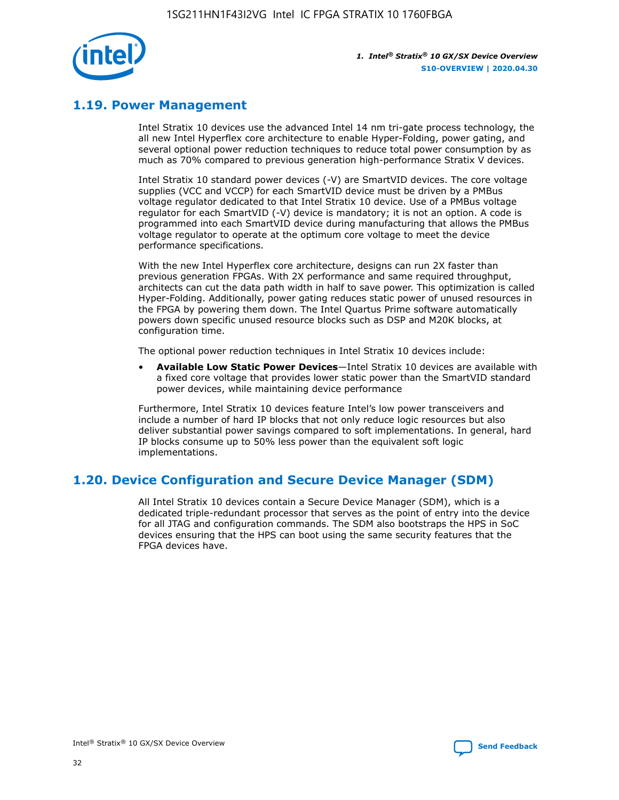

## **1.19. Power Management**

Intel Stratix 10 devices use the advanced Intel 14 nm tri-gate process technology, the all new Intel Hyperflex core architecture to enable Hyper-Folding, power gating, and several optional power reduction techniques to reduce total power consumption by as much as 70% compared to previous generation high-performance Stratix V devices.

Intel Stratix 10 standard power devices (-V) are SmartVID devices. The core voltage supplies (VCC and VCCP) for each SmartVID device must be driven by a PMBus voltage regulator dedicated to that Intel Stratix 10 device. Use of a PMBus voltage regulator for each SmartVID (-V) device is mandatory; it is not an option. A code is programmed into each SmartVID device during manufacturing that allows the PMBus voltage regulator to operate at the optimum core voltage to meet the device performance specifications.

With the new Intel Hyperflex core architecture, designs can run 2X faster than previous generation FPGAs. With 2X performance and same required throughput, architects can cut the data path width in half to save power. This optimization is called Hyper-Folding. Additionally, power gating reduces static power of unused resources in the FPGA by powering them down. The Intel Quartus Prime software automatically powers down specific unused resource blocks such as DSP and M20K blocks, at configuration time.

The optional power reduction techniques in Intel Stratix 10 devices include:

• **Available Low Static Power Devices**—Intel Stratix 10 devices are available with a fixed core voltage that provides lower static power than the SmartVID standard power devices, while maintaining device performance

Furthermore, Intel Stratix 10 devices feature Intel's low power transceivers and include a number of hard IP blocks that not only reduce logic resources but also deliver substantial power savings compared to soft implementations. In general, hard IP blocks consume up to 50% less power than the equivalent soft logic implementations.

## **1.20. Device Configuration and Secure Device Manager (SDM)**

All Intel Stratix 10 devices contain a Secure Device Manager (SDM), which is a dedicated triple-redundant processor that serves as the point of entry into the device for all JTAG and configuration commands. The SDM also bootstraps the HPS in SoC devices ensuring that the HPS can boot using the same security features that the FPGA devices have.

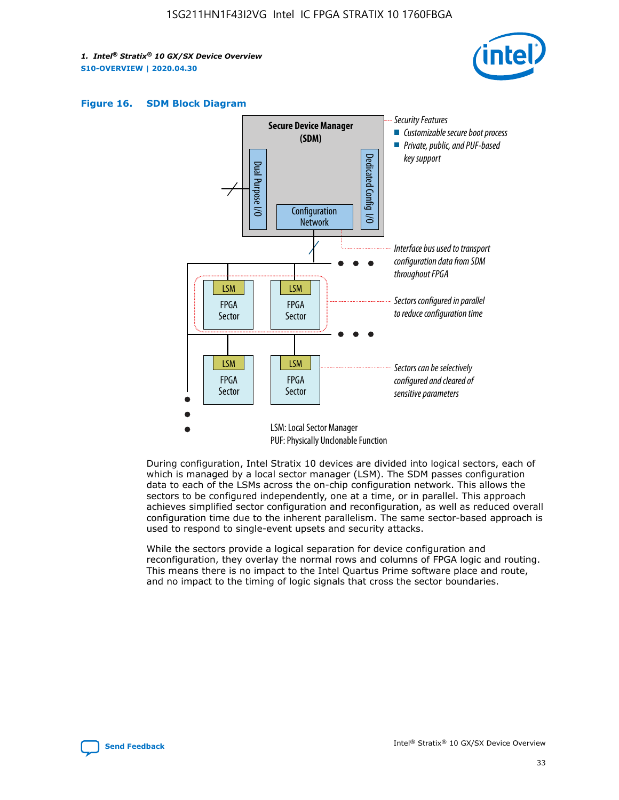





During configuration, Intel Stratix 10 devices are divided into logical sectors, each of which is managed by a local sector manager (LSM). The SDM passes configuration data to each of the LSMs across the on-chip configuration network. This allows the sectors to be configured independently, one at a time, or in parallel. This approach achieves simplified sector configuration and reconfiguration, as well as reduced overall configuration time due to the inherent parallelism. The same sector-based approach is used to respond to single-event upsets and security attacks.

While the sectors provide a logical separation for device configuration and reconfiguration, they overlay the normal rows and columns of FPGA logic and routing. This means there is no impact to the Intel Quartus Prime software place and route, and no impact to the timing of logic signals that cross the sector boundaries.

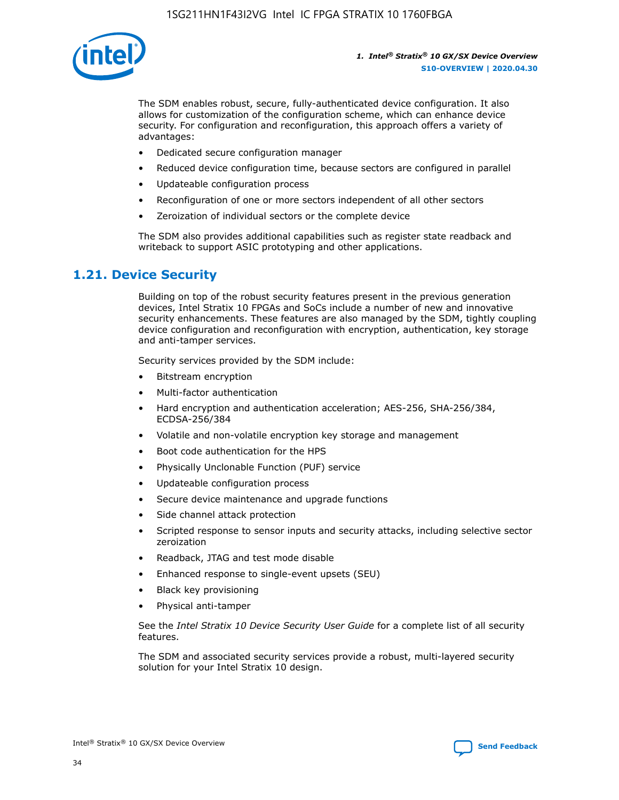

The SDM enables robust, secure, fully-authenticated device configuration. It also allows for customization of the configuration scheme, which can enhance device security. For configuration and reconfiguration, this approach offers a variety of advantages:

- Dedicated secure configuration manager
- Reduced device configuration time, because sectors are configured in parallel
- Updateable configuration process
- Reconfiguration of one or more sectors independent of all other sectors
- Zeroization of individual sectors or the complete device

The SDM also provides additional capabilities such as register state readback and writeback to support ASIC prototyping and other applications.

## **1.21. Device Security**

Building on top of the robust security features present in the previous generation devices, Intel Stratix 10 FPGAs and SoCs include a number of new and innovative security enhancements. These features are also managed by the SDM, tightly coupling device configuration and reconfiguration with encryption, authentication, key storage and anti-tamper services.

Security services provided by the SDM include:

- Bitstream encryption
- Multi-factor authentication
- Hard encryption and authentication acceleration; AES-256, SHA-256/384, ECDSA-256/384
- Volatile and non-volatile encryption key storage and management
- Boot code authentication for the HPS
- Physically Unclonable Function (PUF) service
- Updateable configuration process
- Secure device maintenance and upgrade functions
- Side channel attack protection
- Scripted response to sensor inputs and security attacks, including selective sector zeroization
- Readback, JTAG and test mode disable
- Enhanced response to single-event upsets (SEU)
- Black key provisioning
- Physical anti-tamper

See the *Intel Stratix 10 Device Security User Guide* for a complete list of all security features.

The SDM and associated security services provide a robust, multi-layered security solution for your Intel Stratix 10 design.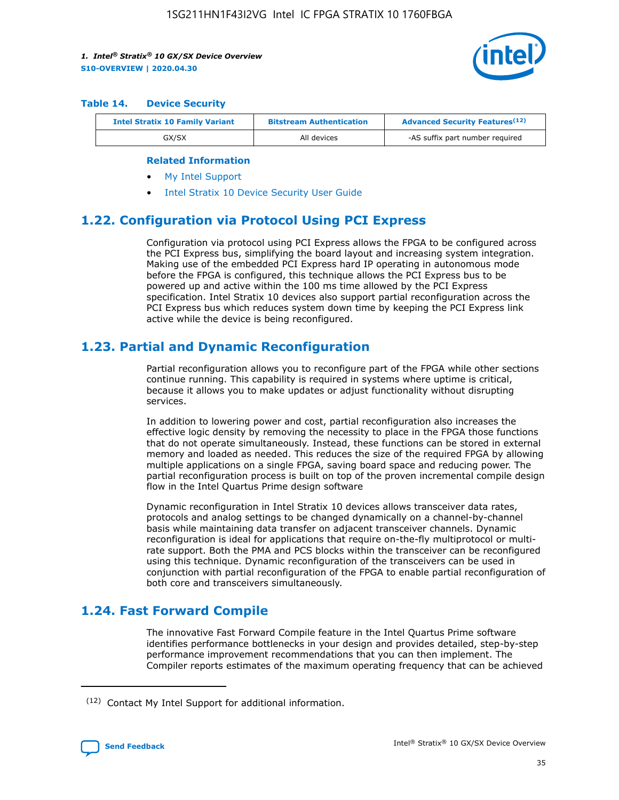

#### **Table 14. Device Security**

| <b>Intel Stratix 10 Family Variant</b> | <b>Bitstream Authentication</b> | <b>Advanced Security Features</b> <sup>(12)</sup> |
|----------------------------------------|---------------------------------|---------------------------------------------------|
| GX/SX                                  | All devices                     | -AS suffix part number required                   |

#### **Related Information**

- [My Intel Support](https://www.intel.com/content/www/us/en/programmable/my-intel/mal-home.html)
- [Intel Stratix 10 Device Security User Guide](https://www.intel.com/content/www/us/en/programmable/documentation/ndq1483601370898.html#wcd1483611014402)

## **1.22. Configuration via Protocol Using PCI Express**

Configuration via protocol using PCI Express allows the FPGA to be configured across the PCI Express bus, simplifying the board layout and increasing system integration. Making use of the embedded PCI Express hard IP operating in autonomous mode before the FPGA is configured, this technique allows the PCI Express bus to be powered up and active within the 100 ms time allowed by the PCI Express specification. Intel Stratix 10 devices also support partial reconfiguration across the PCI Express bus which reduces system down time by keeping the PCI Express link active while the device is being reconfigured.

## **1.23. Partial and Dynamic Reconfiguration**

Partial reconfiguration allows you to reconfigure part of the FPGA while other sections continue running. This capability is required in systems where uptime is critical, because it allows you to make updates or adjust functionality without disrupting services.

In addition to lowering power and cost, partial reconfiguration also increases the effective logic density by removing the necessity to place in the FPGA those functions that do not operate simultaneously. Instead, these functions can be stored in external memory and loaded as needed. This reduces the size of the required FPGA by allowing multiple applications on a single FPGA, saving board space and reducing power. The partial reconfiguration process is built on top of the proven incremental compile design flow in the Intel Quartus Prime design software

Dynamic reconfiguration in Intel Stratix 10 devices allows transceiver data rates, protocols and analog settings to be changed dynamically on a channel-by-channel basis while maintaining data transfer on adjacent transceiver channels. Dynamic reconfiguration is ideal for applications that require on-the-fly multiprotocol or multirate support. Both the PMA and PCS blocks within the transceiver can be reconfigured using this technique. Dynamic reconfiguration of the transceivers can be used in conjunction with partial reconfiguration of the FPGA to enable partial reconfiguration of both core and transceivers simultaneously.

## **1.24. Fast Forward Compile**

The innovative Fast Forward Compile feature in the Intel Quartus Prime software identifies performance bottlenecks in your design and provides detailed, step-by-step performance improvement recommendations that you can then implement. The Compiler reports estimates of the maximum operating frequency that can be achieved

<sup>(12)</sup> Contact My Intel Support for additional information.

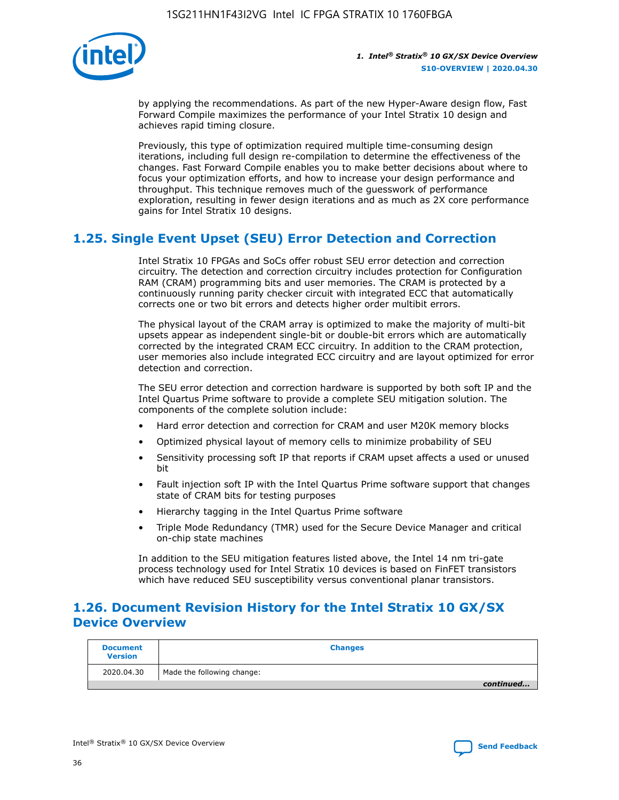

by applying the recommendations. As part of the new Hyper-Aware design flow, Fast Forward Compile maximizes the performance of your Intel Stratix 10 design and achieves rapid timing closure.

Previously, this type of optimization required multiple time-consuming design iterations, including full design re-compilation to determine the effectiveness of the changes. Fast Forward Compile enables you to make better decisions about where to focus your optimization efforts, and how to increase your design performance and throughput. This technique removes much of the guesswork of performance exploration, resulting in fewer design iterations and as much as 2X core performance gains for Intel Stratix 10 designs.

## **1.25. Single Event Upset (SEU) Error Detection and Correction**

Intel Stratix 10 FPGAs and SoCs offer robust SEU error detection and correction circuitry. The detection and correction circuitry includes protection for Configuration RAM (CRAM) programming bits and user memories. The CRAM is protected by a continuously running parity checker circuit with integrated ECC that automatically corrects one or two bit errors and detects higher order multibit errors.

The physical layout of the CRAM array is optimized to make the majority of multi-bit upsets appear as independent single-bit or double-bit errors which are automatically corrected by the integrated CRAM ECC circuitry. In addition to the CRAM protection, user memories also include integrated ECC circuitry and are layout optimized for error detection and correction.

The SEU error detection and correction hardware is supported by both soft IP and the Intel Quartus Prime software to provide a complete SEU mitigation solution. The components of the complete solution include:

- Hard error detection and correction for CRAM and user M20K memory blocks
- Optimized physical layout of memory cells to minimize probability of SEU
- Sensitivity processing soft IP that reports if CRAM upset affects a used or unused bit
- Fault injection soft IP with the Intel Quartus Prime software support that changes state of CRAM bits for testing purposes
- Hierarchy tagging in the Intel Quartus Prime software
- Triple Mode Redundancy (TMR) used for the Secure Device Manager and critical on-chip state machines

In addition to the SEU mitigation features listed above, the Intel 14 nm tri-gate process technology used for Intel Stratix 10 devices is based on FinFET transistors which have reduced SEU susceptibility versus conventional planar transistors.

## **1.26. Document Revision History for the Intel Stratix 10 GX/SX Device Overview**

| <b>Document</b><br><b>Version</b> | <b>Changes</b>             |
|-----------------------------------|----------------------------|
| 2020.04.30                        | Made the following change: |
|                                   | continued                  |

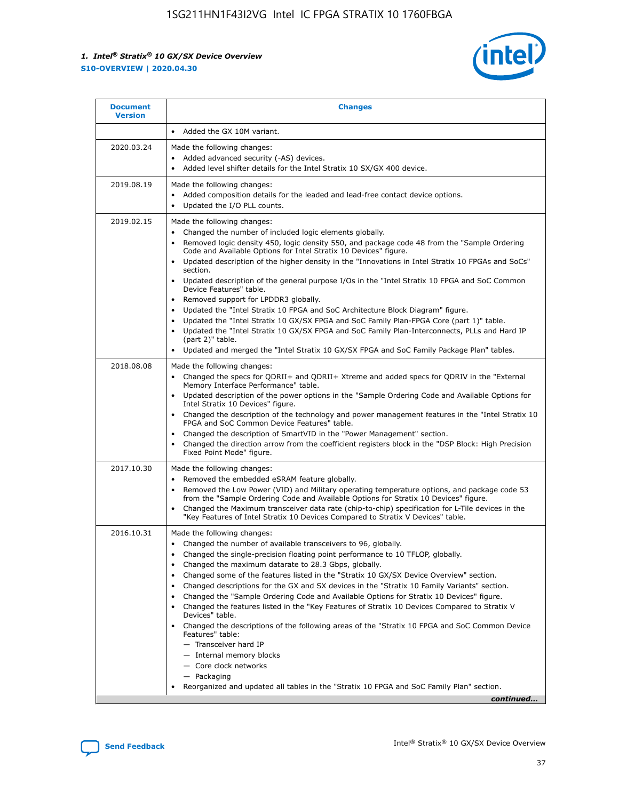

| <b>Document</b><br><b>Version</b> | <b>Changes</b>                                                                                                                                                                                                                                                                                                                                                                                                                                                                                                                                                                                                                                                                                                                                                                                                                                                                                                                                                                                              |
|-----------------------------------|-------------------------------------------------------------------------------------------------------------------------------------------------------------------------------------------------------------------------------------------------------------------------------------------------------------------------------------------------------------------------------------------------------------------------------------------------------------------------------------------------------------------------------------------------------------------------------------------------------------------------------------------------------------------------------------------------------------------------------------------------------------------------------------------------------------------------------------------------------------------------------------------------------------------------------------------------------------------------------------------------------------|
|                                   | Added the GX 10M variant.                                                                                                                                                                                                                                                                                                                                                                                                                                                                                                                                                                                                                                                                                                                                                                                                                                                                                                                                                                                   |
| 2020.03.24                        | Made the following changes:<br>Added advanced security (-AS) devices.<br>Added level shifter details for the Intel Stratix 10 SX/GX 400 device.                                                                                                                                                                                                                                                                                                                                                                                                                                                                                                                                                                                                                                                                                                                                                                                                                                                             |
| 2019.08.19                        | Made the following changes:<br>Added composition details for the leaded and lead-free contact device options.<br>$\bullet$<br>Updated the I/O PLL counts.                                                                                                                                                                                                                                                                                                                                                                                                                                                                                                                                                                                                                                                                                                                                                                                                                                                   |
| 2019.02.15                        | Made the following changes:<br>Changed the number of included logic elements globally.<br>$\bullet$<br>Removed logic density 450, logic density 550, and package code 48 from the "Sample Ordering<br>$\bullet$<br>Code and Available Options for Intel Stratix 10 Devices" figure.<br>Updated description of the higher density in the "Innovations in Intel Stratix 10 FPGAs and SoCs"<br>section.<br>Updated description of the general purpose I/Os in the "Intel Stratix 10 FPGA and SoC Common<br>$\bullet$<br>Device Features" table.<br>Removed support for LPDDR3 globally.<br>Updated the "Intel Stratix 10 FPGA and SoC Architecture Block Diagram" figure.<br>$\bullet$<br>Updated the "Intel Stratix 10 GX/SX FPGA and SoC Family Plan-FPGA Core (part 1)" table.<br>$\bullet$<br>Updated the "Intel Stratix 10 GX/SX FPGA and SoC Family Plan-Interconnects, PLLs and Hard IP<br>(part 2)" table.<br>Updated and merged the "Intel Stratix 10 GX/SX FPGA and SoC Family Package Plan" tables. |
| 2018.08.08                        | Made the following changes:<br>Changed the specs for QDRII+ and QDRII+ Xtreme and added specs for QDRIV in the "External<br>$\bullet$<br>Memory Interface Performance" table.<br>Updated description of the power options in the "Sample Ordering Code and Available Options for<br>Intel Stratix 10 Devices" figure.<br>Changed the description of the technology and power management features in the "Intel Stratix 10<br>FPGA and SoC Common Device Features" table.<br>Changed the description of SmartVID in the "Power Management" section.<br>Changed the direction arrow from the coefficient registers block in the "DSP Block: High Precision<br>$\bullet$<br>Fixed Point Mode" figure.                                                                                                                                                                                                                                                                                                          |
| 2017.10.30                        | Made the following changes:<br>Removed the embedded eSRAM feature globally.<br>$\bullet$<br>Removed the Low Power (VID) and Military operating temperature options, and package code 53<br>$\bullet$<br>from the "Sample Ordering Code and Available Options for Stratix 10 Devices" figure.<br>Changed the Maximum transceiver data rate (chip-to-chip) specification for L-Tile devices in the<br>"Key Features of Intel Stratix 10 Devices Compared to Stratix V Devices" table.                                                                                                                                                                                                                                                                                                                                                                                                                                                                                                                         |
| 2016.10.31                        | Made the following changes:<br>• Changed the number of available transceivers to 96, globally.<br>Changed the single-precision floating point performance to 10 TFLOP, globally.<br>Changed the maximum datarate to 28.3 Gbps, globally.<br>٠<br>Changed some of the features listed in the "Stratix 10 GX/SX Device Overview" section.<br>$\bullet$<br>Changed descriptions for the GX and SX devices in the "Stratix 10 Family Variants" section.<br>$\bullet$<br>Changed the "Sample Ordering Code and Available Options for Stratix 10 Devices" figure.<br>Changed the features listed in the "Key Features of Stratix 10 Devices Compared to Stratix V<br>Devices" table.<br>Changed the descriptions of the following areas of the "Stratix 10 FPGA and SoC Common Device<br>Features" table:<br>- Transceiver hard IP<br>- Internal memory blocks<br>- Core clock networks<br>- Packaging<br>Reorganized and updated all tables in the "Stratix 10 FPGA and SoC Family Plan" section.                |
|                                   | continued                                                                                                                                                                                                                                                                                                                                                                                                                                                                                                                                                                                                                                                                                                                                                                                                                                                                                                                                                                                                   |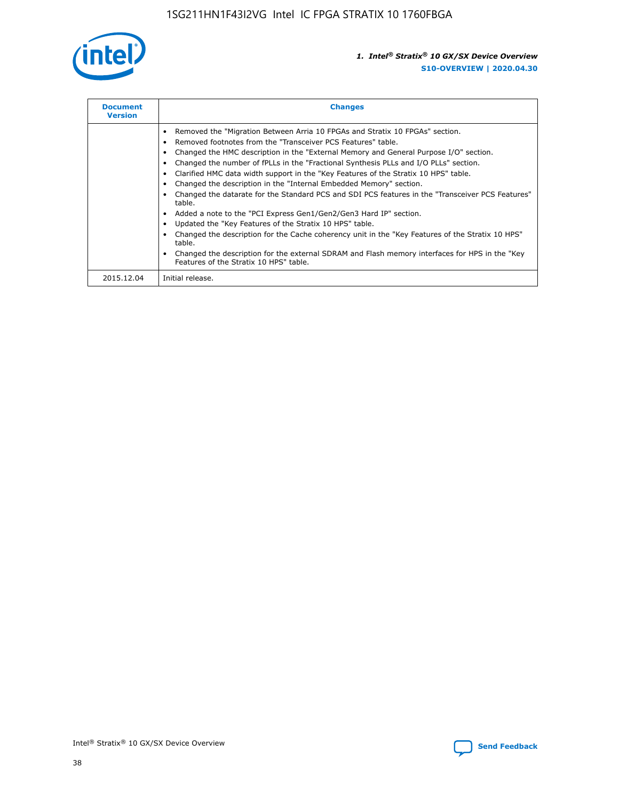

| <b>Document</b><br><b>Version</b> | <b>Changes</b>                                                                                                                                                                                                                                                                                                                                                                                                                                                                                                                                                                                                                                                                                                                                                                                                                                                                                                                                                                                     |
|-----------------------------------|----------------------------------------------------------------------------------------------------------------------------------------------------------------------------------------------------------------------------------------------------------------------------------------------------------------------------------------------------------------------------------------------------------------------------------------------------------------------------------------------------------------------------------------------------------------------------------------------------------------------------------------------------------------------------------------------------------------------------------------------------------------------------------------------------------------------------------------------------------------------------------------------------------------------------------------------------------------------------------------------------|
|                                   | Removed the "Migration Between Arria 10 FPGAs and Stratix 10 FPGAs" section.<br>Removed footnotes from the "Transceiver PCS Features" table.<br>Changed the HMC description in the "External Memory and General Purpose I/O" section.<br>Changed the number of fPLLs in the "Fractional Synthesis PLLs and I/O PLLs" section.<br>Clarified HMC data width support in the "Key Features of the Stratix 10 HPS" table.<br>Changed the description in the "Internal Embedded Memory" section.<br>Changed the datarate for the Standard PCS and SDI PCS features in the "Transceiver PCS Features"<br>table.<br>Added a note to the "PCI Express Gen1/Gen2/Gen3 Hard IP" section.<br>Updated the "Key Features of the Stratix 10 HPS" table.<br>Changed the description for the Cache coherency unit in the "Key Features of the Stratix 10 HPS"<br>table.<br>Changed the description for the external SDRAM and Flash memory interfaces for HPS in the "Key<br>Features of the Stratix 10 HPS" table. |
| 2015.12.04                        | Initial release.                                                                                                                                                                                                                                                                                                                                                                                                                                                                                                                                                                                                                                                                                                                                                                                                                                                                                                                                                                                   |